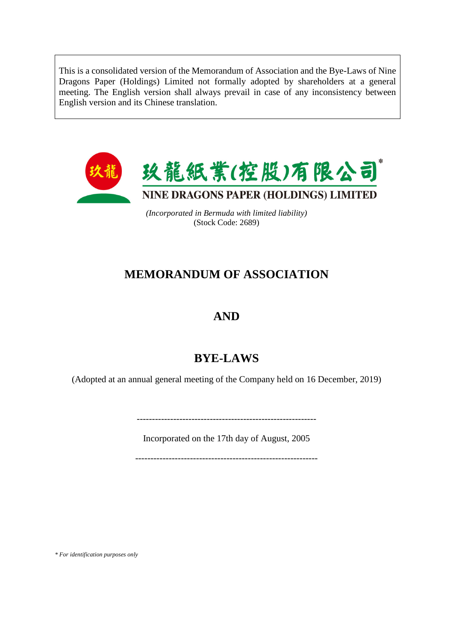This is a consolidated version of the Memorandum of Association and the Bye-Laws of Nine Dragons Paper (Holdings) Limited not formally adopted by shareholders at a general meeting. The English version shall always prevail in case of any inconsistency between English version and its Chinese translation.



*(Incorporated in Bermuda with limited liability)*  (Stock Code: 2689)

# **MEMORANDUM OF ASSOCIATION**

# **AND**

# **BYE-LAWS**

(Adopted at an annual general meeting of the Company held on 16 December, 2019)

-----------------------------------------------------------

Incorporated on the 17th day of August, 2005

------------------------------------------------------------

*\* For identification purposes only*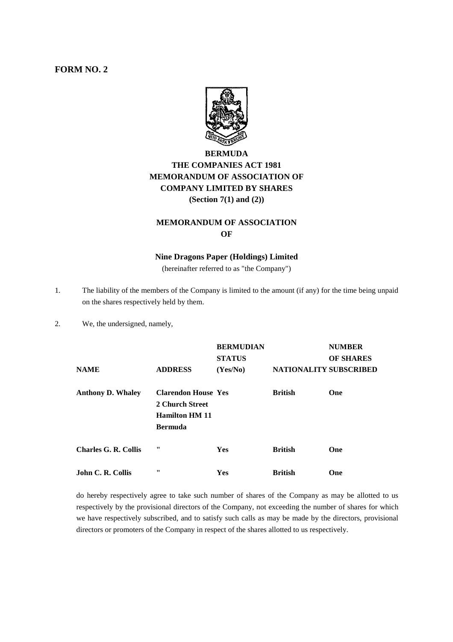### **FORM NO. 2**



# **BERMUDA THE COMPANIES ACT 1981 MEMORANDUM OF ASSOCIATION OF COMPANY LIMITED BY SHARES (Section 7(1) and (2))**

#### **MEMORANDUM OF ASSOCIATION OF**

#### **Nine Dragons Paper (Holdings) Limited**

(hereinafter referred to as "the Company")

- 1. The liability of the members of the Company is limited to the amount (if any) for the time being unpaid on the shares respectively held by them.
- 2. We, the undersigned, namely,

|                             |                            | <b>BERMUDIAN</b> |                        | <b>NUMBER</b>    |
|-----------------------------|----------------------------|------------------|------------------------|------------------|
|                             |                            | <b>STATUS</b>    |                        | <b>OF SHARES</b> |
| <b>NAME</b>                 | <b>ADDRESS</b>             | (Yes/No)         | NATIONALITY SUBSCRIBED |                  |
| <b>Anthony D. Whaley</b>    | <b>Clarendon House Yes</b> |                  | <b>British</b>         | One              |
|                             | 2 Church Street            |                  |                        |                  |
|                             | <b>Hamilton HM 11</b>      |                  |                        |                  |
|                             | <b>Bermuda</b>             |                  |                        |                  |
| <b>Charles G. R. Collis</b> | "                          | <b>Yes</b>       | <b>British</b>         | One              |
| <b>John C. R. Collis</b>    | "                          | Yes              | <b>British</b>         | One              |

do hereby respectively agree to take such number of shares of the Company as may be allotted to us respectively by the provisional directors of the Company, not exceeding the number of shares for which we have respectively subscribed, and to satisfy such calls as may be made by the directors, provisional directors or promoters of the Company in respect of the shares allotted to us respectively.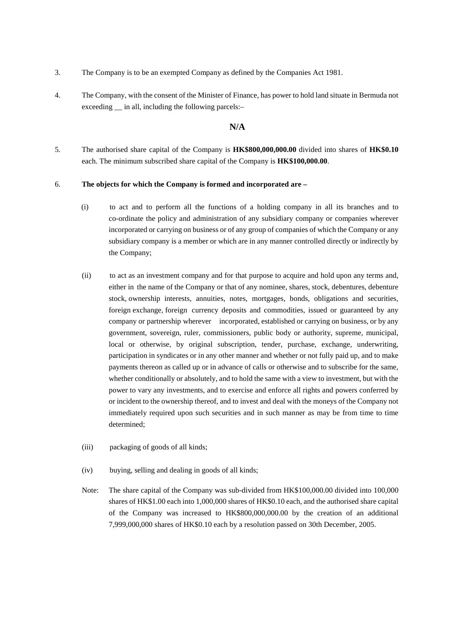- 3. The Company is to be an exempted Company as defined by the Companies Act 1981.
- 4. The Company, with the consent of the Minister of Finance, has power to hold land situate in Bermuda not exceeding in all, including the following parcels:-

#### **N/A**

5. The authorised share capital of the Company is **HK\$800,000,000.00** divided into shares of **HK\$0.10** each. The minimum subscribed share capital of the Company is **HK\$100,000.00**.

#### 6. **The objects for which the Company is formed and incorporated are –**

- (i) to act and to perform all the functions of a holding company in all its branches and to co-ordinate the policy and administration of any subsidiary company or companies wherever incorporated or carrying on business or of any group of companies of which the Company or any subsidiary company is a member or which are in any manner controlled directly or indirectly by the Company;
- (ii) to act as an investment company and for that purpose to acquire and hold upon any terms and, either in the name of the Company or that of any nominee, shares, stock, debentures, debenture stock, ownership interests, annuities, notes, mortgages, bonds, obligations and securities, foreign exchange, foreign currency deposits and commodities, issued or guaranteed by any company or partnership wherever incorporated, established or carrying on business, or by any government, sovereign, ruler, commissioners, public body or authority, supreme, municipal, local or otherwise, by original subscription, tender, purchase, exchange, underwriting, participation in syndicates or in any other manner and whether or not fully paid up, and to make payments thereon as called up or in advance of calls or otherwise and to subscribe for the same, whether conditionally or absolutely, and to hold the same with a view to investment, but with the power to vary any investments, and to exercise and enforce all rights and powers conferred by or incident to the ownership thereof, and to invest and deal with the moneys of the Company not immediately required upon such securities and in such manner as may be from time to time determined;
- (iii) packaging of goods of all kinds;
- (iv) buying, selling and dealing in goods of all kinds;
- Note: The share capital of the Company was sub-divided from HK\$100,000.00 divided into 100,000 shares of HK\$1.00 each into 1,000,000 shares of HK\$0.10 each, and the authorised share capital of the Company was increased to HK\$800,000,000.00 by the creation of an additional 7,999,000,000 shares of HK\$0.10 each by a resolution passed on 30th December, 2005.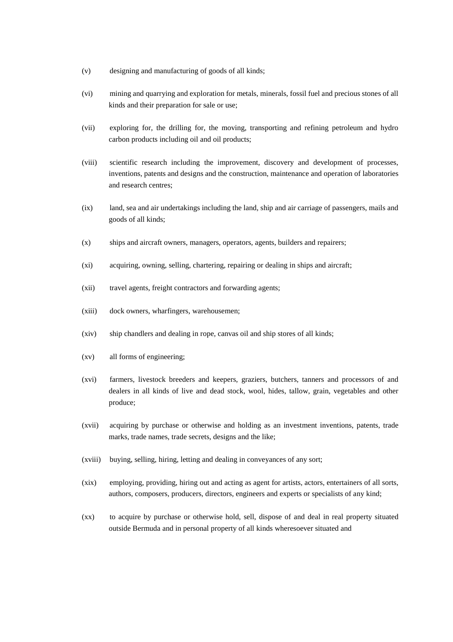- (v) designing and manufacturing of goods of all kinds;
- (vi) mining and quarrying and exploration for metals, minerals, fossil fuel and precious stones of all kinds and their preparation for sale or use;
- (vii) exploring for, the drilling for, the moving, transporting and refining petroleum and hydro carbon products including oil and oil products;
- (viii) scientific research including the improvement, discovery and development of processes, inventions, patents and designs and the construction, maintenance and operation of laboratories and research centres;
- (ix) land, sea and air undertakings including the land, ship and air carriage of passengers, mails and goods of all kinds;
- (x) ships and aircraft owners, managers, operators, agents, builders and repairers;
- (xi) acquiring, owning, selling, chartering, repairing or dealing in ships and aircraft;
- (xii) travel agents, freight contractors and forwarding agents;
- (xiii) dock owners, wharfingers, warehousemen;
- (xiv) ship chandlers and dealing in rope, canvas oil and ship stores of all kinds;
- (xv) all forms of engineering;
- (xvi) farmers, livestock breeders and keepers, graziers, butchers, tanners and processors of and dealers in all kinds of live and dead stock, wool, hides, tallow, grain, vegetables and other produce;
- (xvii) acquiring by purchase or otherwise and holding as an investment inventions, patents, trade marks, trade names, trade secrets, designs and the like;
- (xviii) buying, selling, hiring, letting and dealing in conveyances of any sort;
- (xix) employing, providing, hiring out and acting as agent for artists, actors, entertainers of all sorts, authors, composers, producers, directors, engineers and experts or specialists of any kind;
- (xx) to acquire by purchase or otherwise hold, sell, dispose of and deal in real property situated outside Bermuda and in personal property of all kinds wheresoever situated and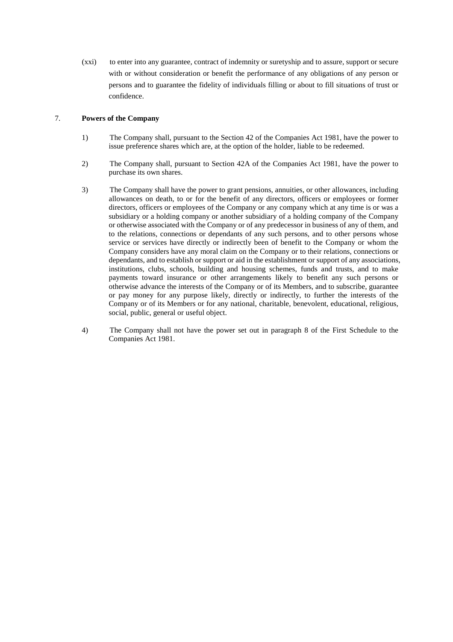(xxi) to enter into any guarantee, contract of indemnity or suretyship and to assure, support or secure with or without consideration or benefit the performance of any obligations of any person or persons and to guarantee the fidelity of individuals filling or about to fill situations of trust or confidence.

#### 7. **Powers of the Company**

- 1) The Company shall, pursuant to the Section 42 of the Companies Act 1981, have the power to issue preference shares which are, at the option of the holder, liable to be redeemed.
- 2) The Company shall, pursuant to Section 42A of the Companies Act 1981, have the power to purchase its own shares.
- 3) The Company shall have the power to grant pensions, annuities, or other allowances, including allowances on death, to or for the benefit of any directors, officers or employees or former directors, officers or employees of the Company or any company which at any time is or was a subsidiary or a holding company or another subsidiary of a holding company of the Company or otherwise associated with the Company or of any predecessor in business of any of them, and to the relations, connections or dependants of any such persons, and to other persons whose service or services have directly or indirectly been of benefit to the Company or whom the Company considers have any moral claim on the Company or to their relations, connections or dependants, and to establish or support or aid in the establishment or support of any associations, institutions, clubs, schools, building and housing schemes, funds and trusts, and to make payments toward insurance or other arrangements likely to benefit any such persons or otherwise advance the interests of the Company or of its Members, and to subscribe, guarantee or pay money for any purpose likely, directly or indirectly, to further the interests of the Company or of its Members or for any national, charitable, benevolent, educational, religious, social, public, general or useful object.
- 4) The Company shall not have the power set out in paragraph 8 of the First Schedule to the Companies Act 1981.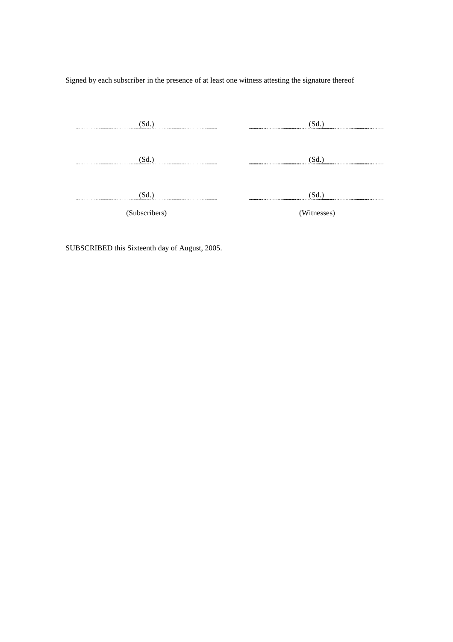Signed by each subscriber in the presence of at least one witness attesting the signature thereof

| 'Sd.          |             |
|---------------|-------------|
|               |             |
| (Sd.          |             |
|               |             |
| (Sd.)         | 'Sd.        |
| (Subscribers) | (Witnesses) |

SUBSCRIBED this Sixteenth day of August, 2005.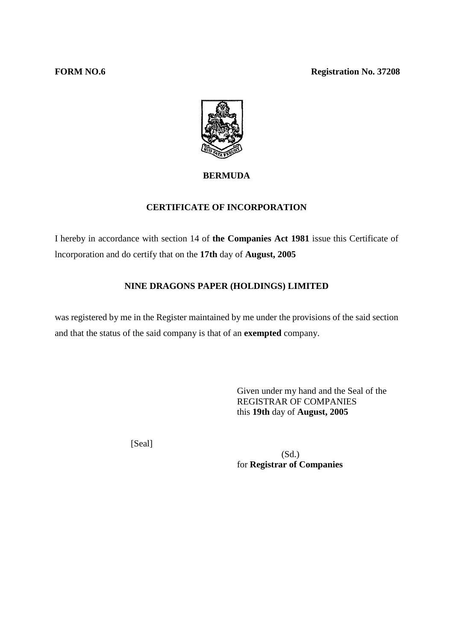

# **BERMUDA**

# **CERTIFICATE OF INCORPORATION**

I hereby in accordance with section 14 of **the Companies Act 1981** issue this Certificate of lncorporation and do certify that on the **17th** day of **August, 2005** 

### **NINE DRAGONS PAPER (HOLDINGS) LIMITED**

was registered by me in the Register maintained by me under the provisions of the said section and that the status of the said company is that of an **exempted** company.

> Given under my hand and the Seal of the REGISTRAR OF COMPANIES this **19th** day of **August, 2005**

[Seal]

 (Sd.) for **Registrar of Companies**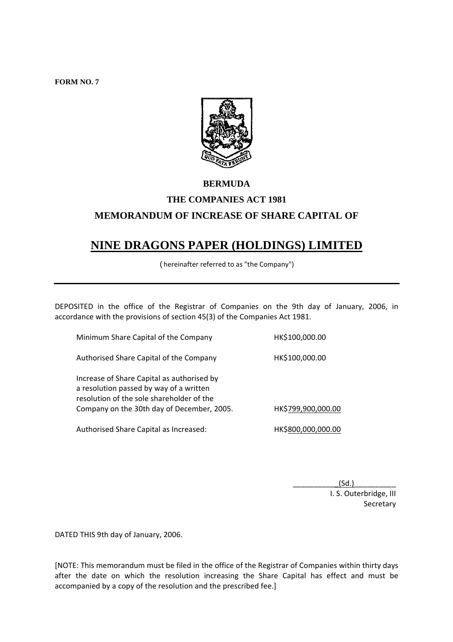**FORM NO. 7** 



# **BERMUDA THE COMPANIES ACT 1981 MEMORANDUM OF INCREASE OF SHARE CAPITAL OF**

# **NINE DRAGONS PAPER (HOLDINGS) LIMITED**

(hereinafter referred to as "the Company")

DEPOSITED in the office of the Registrar of Companies on the 9th day of January, 2006, in accordance with the provisions of section 45(3) of the Companies Act 1981.

Minimum Share Capital of the Company HK\$100,000.00 Authorised Share Capital of the Company HK\$100,000.00 Increase of Share Capital as authorised by a resolution passed by way of a written resolution of the sole shareholder of the Company on the 30th day of December, 2005. HK\$799,900,000.00 Authorised Share Capital as Increased: HK\$800,000,000.00

> $(Sd.)$ I. S. Outerbridge, III Secretary

DATED THIS 9th day of January, 2006.

[NOTE: This memorandum must be filed in the office of the Registrar of Companies within thirty days after the date on which the resolution increasing the Share Capital has effect and must be accompanied by a copy of the resolution and the prescribed fee.]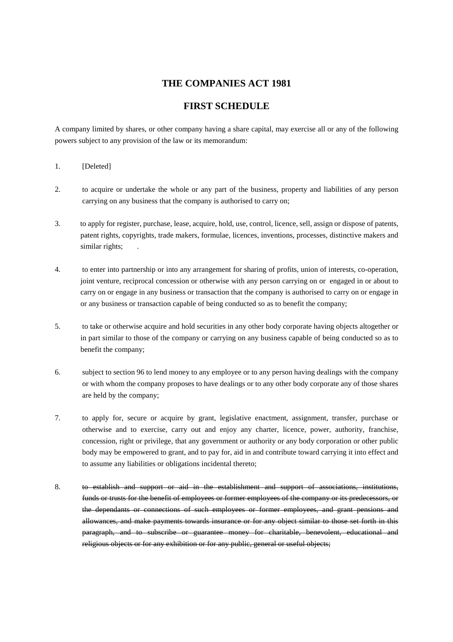### **THE COMPANIES ACT 1981**

# **FIRST SCHEDULE**

A company limited by shares, or other company having a share capital, may exercise all or any of the following powers subject to any provision of the law or its memorandum:

- 1. [Deleted]
- 2. to acquire or undertake the whole or any part of the business, property and liabilities of any person carrying on any business that the company is authorised to carry on;
- 3. to apply for register, purchase, lease, acquire, hold, use, control, licence, sell, assign or dispose of patents, patent rights, copyrights, trade makers, formulae, licences, inventions, processes, distinctive makers and similar rights;
- 4. to enter into partnership or into any arrangement for sharing of profits, union of interests, co-operation, joint venture, reciprocal concession or otherwise with any person carrying on or engaged in or about to carry on or engage in any business or transaction that the company is authorised to carry on or engage in or any business or transaction capable of being conducted so as to benefit the company;
- 5. to take or otherwise acquire and hold securities in any other body corporate having objects altogether or in part similar to those of the company or carrying on any business capable of being conducted so as to benefit the company;
- 6. subject to section 96 to lend money to any employee or to any person having dealings with the company or with whom the company proposes to have dealings or to any other body corporate any of those shares are held by the company;
- 7. to apply for, secure or acquire by grant, legislative enactment, assignment, transfer, purchase or otherwise and to exercise, carry out and enjoy any charter, licence, power, authority, franchise, concession, right or privilege, that any government or authority or any body corporation or other public body may be empowered to grant, and to pay for, aid in and contribute toward carrying it into effect and to assume any liabilities or obligations incidental thereto;
- 8. to establish and support or aid in the establishment and support of associations, institutions, funds or trusts for the benefit of employees or former employees of the company or its predecessors, or the dependants or connections of such employees or former employees, and grant pensions and allowances, and make payments towards insurance or for any object similar to those set forth in this paragraph, and to subscribe or guarantee money for charitable, benevolent, educational and religious objects or for any exhibition or for any public, general or useful objects;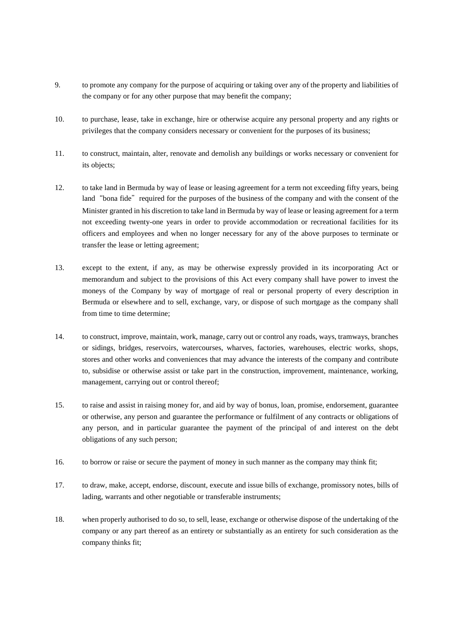- 9. to promote any company for the purpose of acquiring or taking over any of the property and liabilities of the company or for any other purpose that may benefit the company;
- 10. to purchase, lease, take in exchange, hire or otherwise acquire any personal property and any rights or privileges that the company considers necessary or convenient for the purposes of its business;
- 11. to construct, maintain, alter, renovate and demolish any buildings or works necessary or convenient for its objects;
- 12. to take land in Bermuda by way of lease or leasing agreement for a term not exceeding fifty years, being land "bona fide" required for the purposes of the business of the company and with the consent of the Minister granted in his discretion to take land in Bermuda by way of lease or leasing agreement for a term not exceeding twenty-one years in order to provide accommodation or recreational facilities for its officers and employees and when no longer necessary for any of the above purposes to terminate or transfer the lease or letting agreement;
- 13. except to the extent, if any, as may be otherwise expressly provided in its incorporating Act or memorandum and subject to the provisions of this Act every company shall have power to invest the moneys of the Company by way of mortgage of real or personal property of every description in Bermuda or elsewhere and to sell, exchange, vary, or dispose of such mortgage as the company shall from time to time determine;
- 14. to construct, improve, maintain, work, manage, carry out or control any roads, ways, tramways, branches or sidings, bridges, reservoirs, watercourses, wharves, factories, warehouses, electric works, shops, stores and other works and conveniences that may advance the interests of the company and contribute to, subsidise or otherwise assist or take part in the construction, improvement, maintenance, working, management, carrying out or control thereof;
- 15. to raise and assist in raising money for, and aid by way of bonus, loan, promise, endorsement, guarantee or otherwise, any person and guarantee the performance or fulfilment of any contracts or obligations of any person, and in particular guarantee the payment of the principal of and interest on the debt obligations of any such person;
- 16. to borrow or raise or secure the payment of money in such manner as the company may think fit;
- 17. to draw, make, accept, endorse, discount, execute and issue bills of exchange, promissory notes, bills of lading, warrants and other negotiable or transferable instruments;
- 18. when properly authorised to do so, to sell, lease, exchange or otherwise dispose of the undertaking of the company or any part thereof as an entirety or substantially as an entirety for such consideration as the company thinks fit;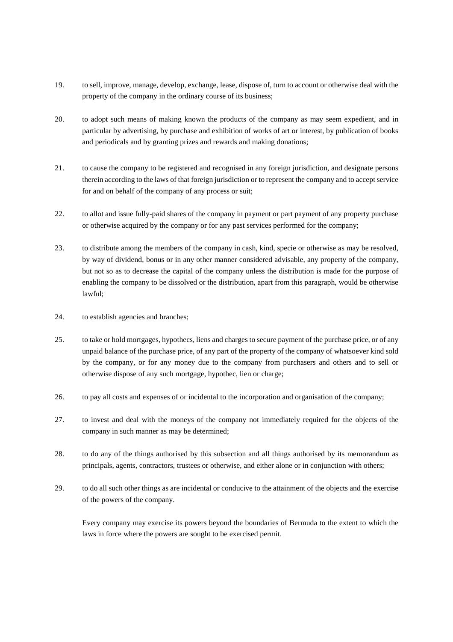- 19. to sell, improve, manage, develop, exchange, lease, dispose of, turn to account or otherwise deal with the property of the company in the ordinary course of its business;
- 20. to adopt such means of making known the products of the company as may seem expedient, and in particular by advertising, by purchase and exhibition of works of art or interest, by publication of books and periodicals and by granting prizes and rewards and making donations;
- 21. to cause the company to be registered and recognised in any foreign jurisdiction, and designate persons therein according to the laws of that foreign jurisdiction or to represent the company and to accept service for and on behalf of the company of any process or suit;
- 22. to allot and issue fully-paid shares of the company in payment or part payment of any property purchase or otherwise acquired by the company or for any past services performed for the company;
- 23. to distribute among the members of the company in cash, kind, specie or otherwise as may be resolved, by way of dividend, bonus or in any other manner considered advisable, any property of the company, but not so as to decrease the capital of the company unless the distribution is made for the purpose of enabling the company to be dissolved or the distribution, apart from this paragraph, would be otherwise lawful;
- 24. to establish agencies and branches;
- 25. to take or hold mortgages, hypothecs, liens and charges to secure payment of the purchase price, or of any unpaid balance of the purchase price, of any part of the property of the company of whatsoever kind sold by the company, or for any money due to the company from purchasers and others and to sell or otherwise dispose of any such mortgage, hypothec, lien or charge;
- 26. to pay all costs and expenses of or incidental to the incorporation and organisation of the company;
- 27. to invest and deal with the moneys of the company not immediately required for the objects of the company in such manner as may be determined;
- 28. to do any of the things authorised by this subsection and all things authorised by its memorandum as principals, agents, contractors, trustees or otherwise, and either alone or in conjunction with others;
- 29. to do all such other things as are incidental or conducive to the attainment of the objects and the exercise of the powers of the company.

Every company may exercise its powers beyond the boundaries of Bermuda to the extent to which the laws in force where the powers are sought to be exercised permit.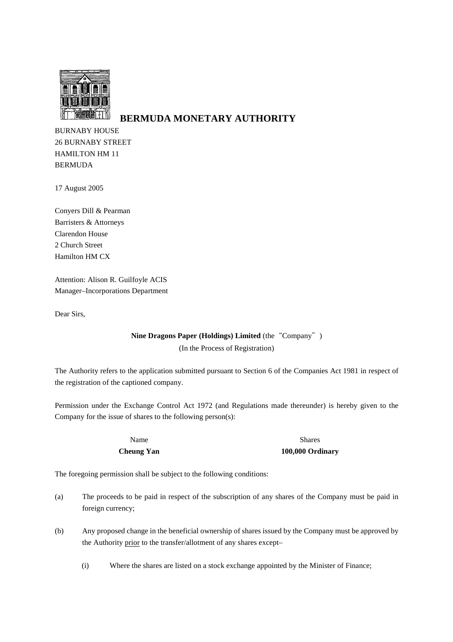

# **BERMUDA MONETARY AUTHORITY**

BURNABY HOUSE 26 BURNABY STREET HAMILTON HM 11 BERMUDA

17 August 2005

Conyers Dill & Pearman Barristers & Attorneys Clarendon House 2 Church Street Hamilton HM CX

Attention: Alison R. Guilfoyle ACIS Manager–Incorporations Department

Dear Sirs,

### **Nine Dragons Paper (Holdings) Limited** (the "Company") (In the Process of Registration)

The Authority refers to the application submitted pursuant to Section 6 of the Companies Act 1981 in respect of the registration of the captioned company.

Permission under the Exchange Control Act 1972 (and Regulations made thereunder) is hereby given to the Company for the issue of shares to the following person(s):

Name Shares Shares **Cheung Yan 100,000 Ordinary** 

The foregoing permission shall be subject to the following conditions:

- (a) The proceeds to be paid in respect of the subscription of any shares of the Company must be paid in foreign currency;
- (b) Any proposed change in the beneficial ownership of shares issued by the Company must be approved by the Authority prior to the transfer/allotment of any shares except–
	- (i) Where the shares are listed on a stock exchange appointed by the Minister of Finance;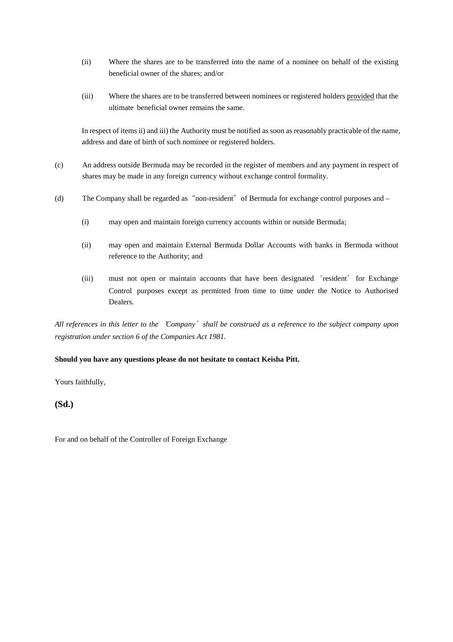- (ii) Where the shares are to be transferred into the name of a nominee on behalf of the existing beneficial owner of the shares; and/or
- (iii) Where the shares are to be transferred between nominees or registered holders provided that the ultimate beneficial owner remains the same.

In respect of items ii) and iii) the Authority must be notified as soon as reasonably practicable of the name, address and date of birth of such nominee or registered holders.

- (c) An address outside Bermuda may be recorded in the register of members and any payment in respect of shares may be made in any foreign currency without exchange control formality.
- (d) The Company shall be regarded as "non-resident" of Bermuda for exchange control purposes and
	- (i) may open and maintain foreign currency accounts within or outside Bermuda;
	- (ii) may open and maintain External Bermuda Dollar Accounts with banks in Bermuda without reference to the Authority; and
	- (iii) must not open or maintain accounts that have been designated 'resident' for Exchange Control purposes except as permitted from time to time under the Notice to Authorised Dealers.

*All references in this letter to the*'*Company*'*shall be construed as a reference to the subject company upon registration under section 6 of the Companies Act 1981.* 

#### **Should you have any questions please do not hesitate to contact Keisha Pitt.**

Yours faithfully,

#### **(Sd.)**

For and on behalf of the Controller of Foreign Exchange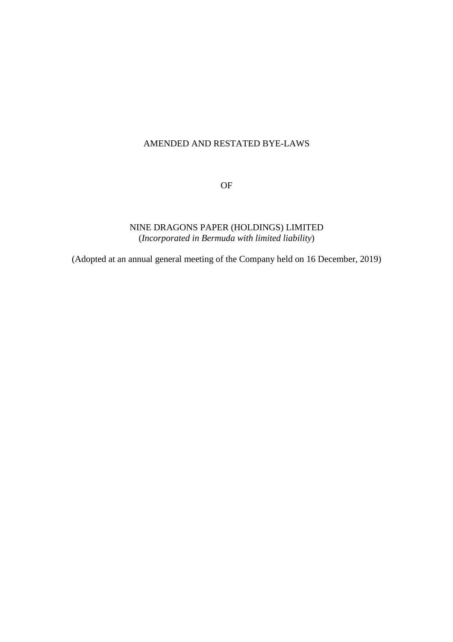# AMENDED AND RESTATED BYE-LAWS

OF

# NINE DRAGONS PAPER (HOLDINGS) LIMITED (*Incorporated in Bermuda with limited liability*)

(Adopted at an annual general meeting of the Company held on 16 December, 2019)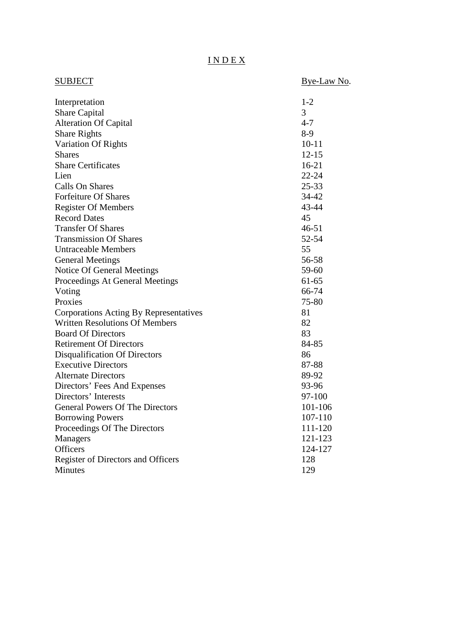# I N D E X

| <b>SUBJECT</b>                         | Bye-Law No. |
|----------------------------------------|-------------|
|                                        |             |
| Interpretation                         | $1 - 2$     |
| <b>Share Capital</b>                   | 3           |
| <b>Alteration Of Capital</b>           | $4 - 7$     |
| <b>Share Rights</b>                    | $8-9$       |
| Variation Of Rights                    | $10 - 11$   |
| <b>Shares</b>                          | $12 - 15$   |
| <b>Share Certificates</b>              | $16 - 21$   |
| Lien                                   | $22 - 24$   |
| <b>Calls On Shares</b>                 | 25-33       |
| Forfeiture Of Shares                   | 34-42       |
| <b>Register Of Members</b>             | 43-44       |
| <b>Record Dates</b>                    | 45          |
| <b>Transfer Of Shares</b>              | $46 - 51$   |
| <b>Transmission Of Shares</b>          | 52-54       |
| <b>Untraceable Members</b>             | 55          |
| <b>General Meetings</b>                | 56-58       |
| Notice Of General Meetings             | 59-60       |
| Proceedings At General Meetings        | $61 - 65$   |
| Voting                                 | 66-74       |
| Proxies                                | 75-80       |
| Corporations Acting By Representatives | 81          |
| <b>Written Resolutions Of Members</b>  | 82          |
| <b>Board Of Directors</b>              | 83          |
| <b>Retirement Of Directors</b>         | 84-85       |
| <b>Disqualification Of Directors</b>   | 86          |
| <b>Executive Directors</b>             | 87-88       |
| <b>Alternate Directors</b>             | 89-92       |
| Directors' Fees And Expenses           | 93-96       |
| Directors' Interests                   | 97-100      |
| <b>General Powers Of The Directors</b> | 101-106     |
| <b>Borrowing Powers</b>                | 107-110     |
| Proceedings Of The Directors           | 111-120     |
| <b>Managers</b>                        | 121-123     |
| Officers                               | 124-127     |
| Register of Directors and Officers     | 128         |
| <b>Minutes</b>                         | 129         |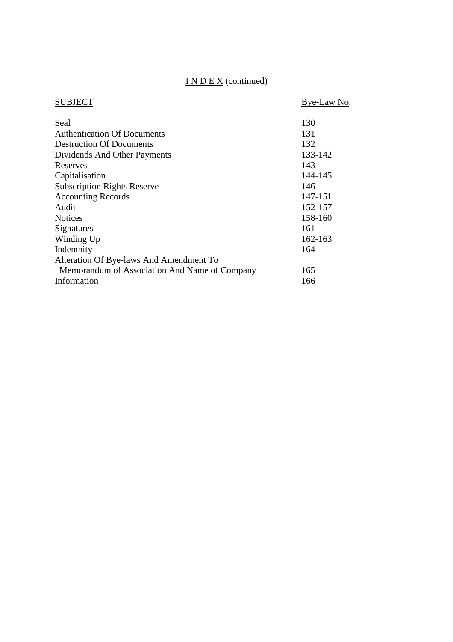# I N D E X (continued)

| SUBJECT                                       | Bye-Law No. |
|-----------------------------------------------|-------------|
| Seal                                          | 130         |
| <b>Authentication Of Documents</b>            | 131         |
| <b>Destruction Of Documents</b>               | 132         |
| Dividends And Other Payments                  | 133-142     |
| Reserves                                      | 143         |
| Capitalisation                                | 144-145     |
| <b>Subscription Rights Reserve</b>            | 146         |
| <b>Accounting Records</b>                     | 147-151     |
| Audit                                         | 152-157     |
| <b>Notices</b>                                | 158-160     |
| Signatures                                    | 161         |
| Winding Up                                    | 162-163     |
| Indemnity                                     | 164         |
| Alteration Of Bye-laws And Amendment To       |             |
| Memorandum of Association And Name of Company | 165         |
| Information                                   | 166         |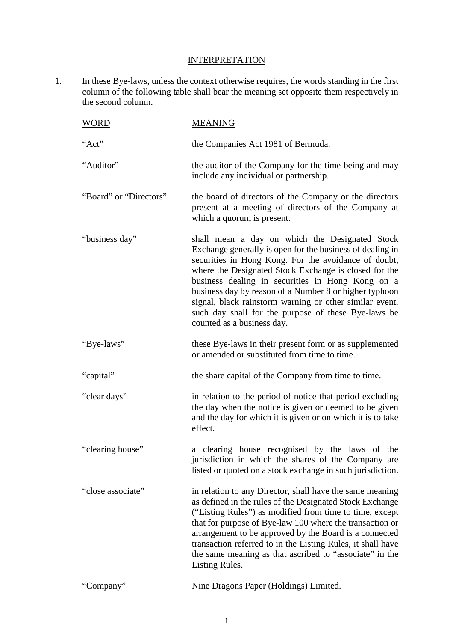# **INTERPRETATION**

1. In these Bye-laws, unless the context otherwise requires, the words standing in the first column of the following table shall bear the meaning set opposite them respectively in the second column.

| WORD                   | <b>MEANING</b>                                                                                                                                                                                                                                                                                                                                                                                                                                                                             |
|------------------------|--------------------------------------------------------------------------------------------------------------------------------------------------------------------------------------------------------------------------------------------------------------------------------------------------------------------------------------------------------------------------------------------------------------------------------------------------------------------------------------------|
| "Act"                  | the Companies Act 1981 of Bermuda.                                                                                                                                                                                                                                                                                                                                                                                                                                                         |
| "Auditor"              | the auditor of the Company for the time being and may<br>include any individual or partnership.                                                                                                                                                                                                                                                                                                                                                                                            |
| "Board" or "Directors" | the board of directors of the Company or the directors<br>present at a meeting of directors of the Company at<br>which a quorum is present.                                                                                                                                                                                                                                                                                                                                                |
| "business day"         | shall mean a day on which the Designated Stock<br>Exchange generally is open for the business of dealing in<br>securities in Hong Kong. For the avoidance of doubt,<br>where the Designated Stock Exchange is closed for the<br>business dealing in securities in Hong Kong on a<br>business day by reason of a Number 8 or higher typhoon<br>signal, black rainstorm warning or other similar event,<br>such day shall for the purpose of these Bye-laws be<br>counted as a business day. |
| "Bye-laws"             | these Bye-laws in their present form or as supplemented<br>or amended or substituted from time to time.                                                                                                                                                                                                                                                                                                                                                                                    |
| "capital"              | the share capital of the Company from time to time.                                                                                                                                                                                                                                                                                                                                                                                                                                        |
| "clear days"           | in relation to the period of notice that period excluding<br>the day when the notice is given or deemed to be given<br>and the day for which it is given or on which it is to take<br>effect.                                                                                                                                                                                                                                                                                              |
| "clearing house"       | a clearing house recognised by the laws of the<br>jurisdiction in which the shares of the Company are<br>listed or quoted on a stock exchange in such jurisdiction.                                                                                                                                                                                                                                                                                                                        |
| "close associate"      | in relation to any Director, shall have the same meaning<br>as defined in the rules of the Designated Stock Exchange<br>("Listing Rules") as modified from time to time, except<br>that for purpose of Bye-law 100 where the transaction or<br>arrangement to be approved by the Board is a connected<br>transaction referred to in the Listing Rules, it shall have<br>the same meaning as that ascribed to "associate" in the<br>Listing Rules.                                          |
| "Company"              | Nine Dragons Paper (Holdings) Limited.                                                                                                                                                                                                                                                                                                                                                                                                                                                     |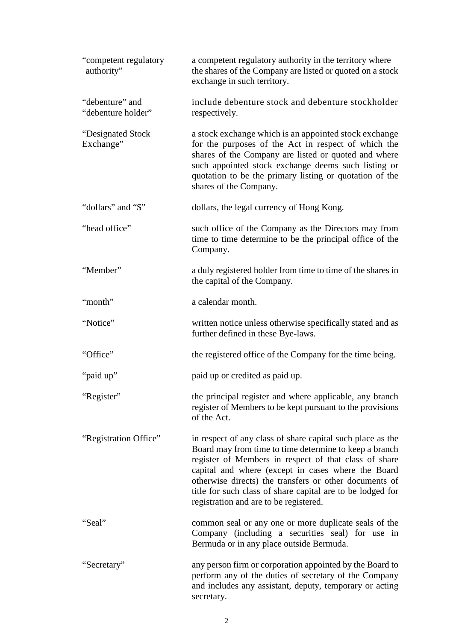| "competent regulatory<br>authority"   | a competent regulatory authority in the territory where<br>the shares of the Company are listed or quoted on a stock<br>exchange in such territory.                                                                                                                                                                                                                                                   |
|---------------------------------------|-------------------------------------------------------------------------------------------------------------------------------------------------------------------------------------------------------------------------------------------------------------------------------------------------------------------------------------------------------------------------------------------------------|
| "debenture" and<br>"debenture holder" | include debenture stock and debenture stockholder<br>respectively.                                                                                                                                                                                                                                                                                                                                    |
| "Designated Stock"<br>Exchange"       | a stock exchange which is an appointed stock exchange<br>for the purposes of the Act in respect of which the<br>shares of the Company are listed or quoted and where<br>such appointed stock exchange deems such listing or<br>quotation to be the primary listing or quotation of the<br>shares of the Company.                                                                                      |
| "dollars" and "\$"                    | dollars, the legal currency of Hong Kong.                                                                                                                                                                                                                                                                                                                                                             |
| "head office"                         | such office of the Company as the Directors may from<br>time to time determine to be the principal office of the<br>Company.                                                                                                                                                                                                                                                                          |
| "Member"                              | a duly registered holder from time to time of the shares in<br>the capital of the Company.                                                                                                                                                                                                                                                                                                            |
| "month"                               | a calendar month.                                                                                                                                                                                                                                                                                                                                                                                     |
| "Notice"                              | written notice unless otherwise specifically stated and as<br>further defined in these Bye-laws.                                                                                                                                                                                                                                                                                                      |
| "Office"                              | the registered office of the Company for the time being.                                                                                                                                                                                                                                                                                                                                              |
| "paid up"                             | paid up or credited as paid up.                                                                                                                                                                                                                                                                                                                                                                       |
| "Register"                            | the principal register and where applicable, any branch<br>register of Members to be kept pursuant to the provisions<br>of the Act.                                                                                                                                                                                                                                                                   |
| "Registration Office"                 | in respect of any class of share capital such place as the<br>Board may from time to time determine to keep a branch<br>register of Members in respect of that class of share<br>capital and where (except in cases where the Board<br>otherwise directs) the transfers or other documents of<br>title for such class of share capital are to be lodged for<br>registration and are to be registered. |
| "Seal"                                | common seal or any one or more duplicate seals of the<br>Company (including a securities seal) for use in<br>Bermuda or in any place outside Bermuda.                                                                                                                                                                                                                                                 |
| "Secretary"                           | any person firm or corporation appointed by the Board to<br>perform any of the duties of secretary of the Company<br>and includes any assistant, deputy, temporary or acting<br>secretary.                                                                                                                                                                                                            |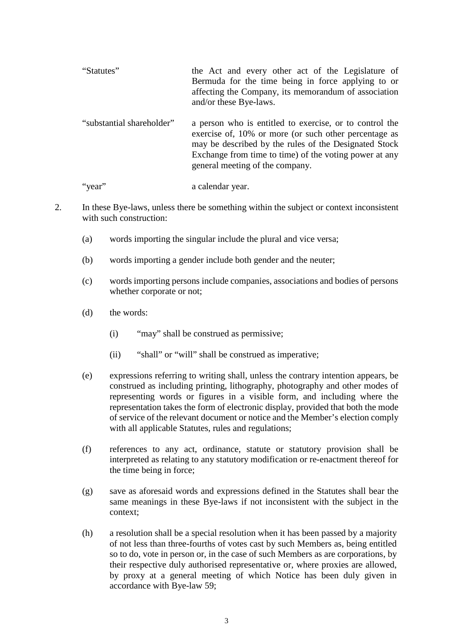| "Statutes" | the Act and every other act of the Legislature of    |
|------------|------------------------------------------------------|
|            | Bermuda for the time being in force applying to or   |
|            | affecting the Company, its memorandum of association |
|            | and/or these Bye-laws.                               |

"substantial shareholder" a person who is entitled to exercise, or to control the exercise of, 10% or more (or such other percentage as may be described by the rules of the Designated Stock Exchange from time to time) of the voting power at any general meeting of the company.

"year" a calendar year.

- 2. In these Bye-laws, unless there be something within the subject or context inconsistent with such construction:
	- (a) words importing the singular include the plural and vice versa;
	- (b) words importing a gender include both gender and the neuter;
	- (c) words importing persons include companies, associations and bodies of persons whether corporate or not;
	- (d) the words:
		- (i) "may" shall be construed as permissive;
		- (ii) "shall" or "will" shall be construed as imperative;
	- (e) expressions referring to writing shall, unless the contrary intention appears, be construed as including printing, lithography, photography and other modes of representing words or figures in a visible form, and including where the representation takes the form of electronic display, provided that both the mode of service of the relevant document or notice and the Member's election comply with all applicable Statutes, rules and regulations;
	- (f) references to any act, ordinance, statute or statutory provision shall be interpreted as relating to any statutory modification or re-enactment thereof for the time being in force;
	- (g) save as aforesaid words and expressions defined in the Statutes shall bear the same meanings in these Bye-laws if not inconsistent with the subject in the context;
	- (h) a resolution shall be a special resolution when it has been passed by a majority of not less than three-fourths of votes cast by such Members as, being entitled so to do, vote in person or, in the case of such Members as are corporations, by their respective duly authorised representative or, where proxies are allowed, by proxy at a general meeting of which Notice has been duly given in accordance with Bye-law 59;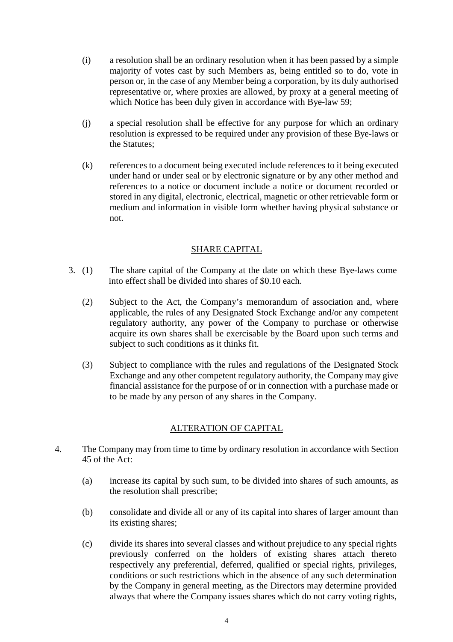- (i) a resolution shall be an ordinary resolution when it has been passed by a simple majority of votes cast by such Members as, being entitled so to do, vote in person or, in the case of any Member being a corporation, by its duly authorised representative or, where proxies are allowed, by proxy at a general meeting of which Notice has been duly given in accordance with Bye-law 59;
- (j) a special resolution shall be effective for any purpose for which an ordinary resolution is expressed to be required under any provision of these Bye-laws or the Statutes;
- (k) references to a document being executed include references to it being executed under hand or under seal or by electronic signature or by any other method and references to a notice or document include a notice or document recorded or stored in any digital, electronic, electrical, magnetic or other retrievable form or medium and information in visible form whether having physical substance or not.

# SHARE CAPITAL

- 3. (1) The share capital of the Company at the date on which these Bye-laws come into effect shall be divided into shares of \$0.10 each.
	- (2) Subject to the Act, the Company's memorandum of association and, where applicable, the rules of any Designated Stock Exchange and/or any competent regulatory authority, any power of the Company to purchase or otherwise acquire its own shares shall be exercisable by the Board upon such terms and subject to such conditions as it thinks fit.
	- (3) Subject to compliance with the rules and regulations of the Designated Stock Exchange and any other competent regulatory authority, the Company may give financial assistance for the purpose of or in connection with a purchase made or to be made by any person of any shares in the Company.

# ALTERATION OF CAPITAL

- 4. The Company may from time to time by ordinary resolution in accordance with Section 45 of the Act:
	- (a) increase its capital by such sum, to be divided into shares of such amounts, as the resolution shall prescribe;
	- (b) consolidate and divide all or any of its capital into shares of larger amount than its existing shares;
	- (c) divide its shares into several classes and without prejudice to any special rights previously conferred on the holders of existing shares attach thereto respectively any preferential, deferred, qualified or special rights, privileges, conditions or such restrictions which in the absence of any such determination by the Company in general meeting, as the Directors may determine provided always that where the Company issues shares which do not carry voting rights,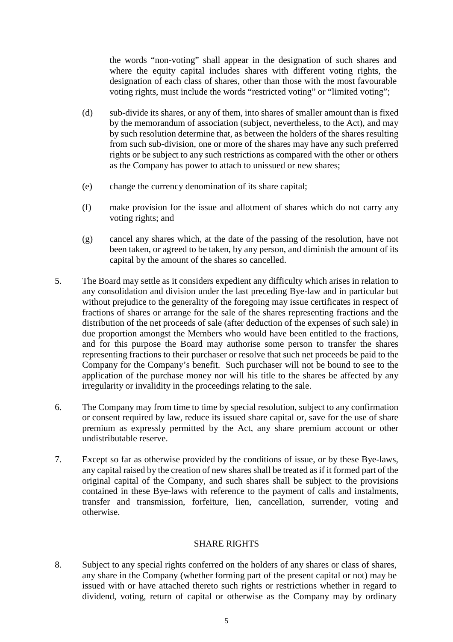the words "non-voting" shall appear in the designation of such shares and where the equity capital includes shares with different voting rights, the designation of each class of shares, other than those with the most favourable voting rights, must include the words "restricted voting" or "limited voting";

- (d) sub-divide its shares, or any of them, into shares of smaller amount than is fixed by the memorandum of association (subject, nevertheless, to the Act), and may by such resolution determine that, as between the holders of the shares resulting from such sub-division, one or more of the shares may have any such preferred rights or be subject to any such restrictions as compared with the other or others as the Company has power to attach to unissued or new shares;
- (e) change the currency denomination of its share capital;
- (f) make provision for the issue and allotment of shares which do not carry any voting rights; and
- (g) cancel any shares which, at the date of the passing of the resolution, have not been taken, or agreed to be taken, by any person, and diminish the amount of its capital by the amount of the shares so cancelled.
- 5. The Board may settle as it considers expedient any difficulty which arises in relation to any consolidation and division under the last preceding Bye-law and in particular but without prejudice to the generality of the foregoing may issue certificates in respect of fractions of shares or arrange for the sale of the shares representing fractions and the distribution of the net proceeds of sale (after deduction of the expenses of such sale) in due proportion amongst the Members who would have been entitled to the fractions, and for this purpose the Board may authorise some person to transfer the shares representing fractions to their purchaser or resolve that such net proceeds be paid to the Company for the Company's benefit. Such purchaser will not be bound to see to the application of the purchase money nor will his title to the shares be affected by any irregularity or invalidity in the proceedings relating to the sale.
- 6. The Company may from time to time by special resolution, subject to any confirmation or consent required by law, reduce its issued share capital or, save for the use of share premium as expressly permitted by the Act, any share premium account or other undistributable reserve.
- 7. Except so far as otherwise provided by the conditions of issue, or by these Bye-laws, any capital raised by the creation of new shares shall be treated as if it formed part of the original capital of the Company, and such shares shall be subject to the provisions contained in these Bye-laws with reference to the payment of calls and instalments, transfer and transmission, forfeiture, lien, cancellation, surrender, voting and otherwise.

### SHARE RIGHTS

8. Subject to any special rights conferred on the holders of any shares or class of shares, any share in the Company (whether forming part of the present capital or not) may be issued with or have attached thereto such rights or restrictions whether in regard to dividend, voting, return of capital or otherwise as the Company may by ordinary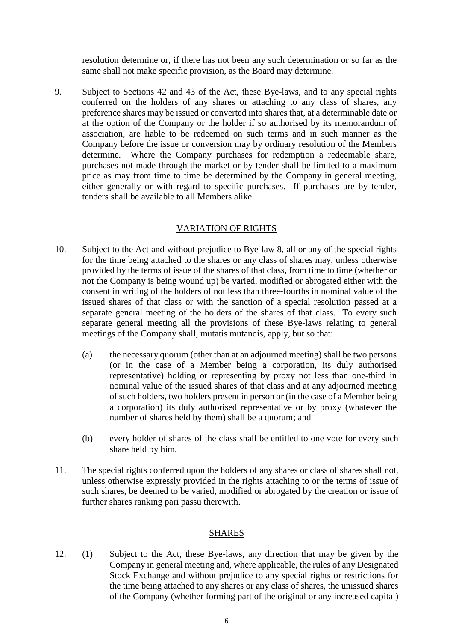resolution determine or, if there has not been any such determination or so far as the same shall not make specific provision, as the Board may determine.

9. Subject to Sections 42 and 43 of the Act, these Bye-laws, and to any special rights conferred on the holders of any shares or attaching to any class of shares, any preference shares may be issued or converted into shares that, at a determinable date or at the option of the Company or the holder if so authorised by its memorandum of association, are liable to be redeemed on such terms and in such manner as the Company before the issue or conversion may by ordinary resolution of the Members determine. Where the Company purchases for redemption a redeemable share, purchases not made through the market or by tender shall be limited to a maximum price as may from time to time be determined by the Company in general meeting, either generally or with regard to specific purchases. If purchases are by tender, tenders shall be available to all Members alike.

### VARIATION OF RIGHTS

- 10. Subject to the Act and without prejudice to Bye-law 8, all or any of the special rights for the time being attached to the shares or any class of shares may, unless otherwise provided by the terms of issue of the shares of that class, from time to time (whether or not the Company is being wound up) be varied, modified or abrogated either with the consent in writing of the holders of not less than three-fourths in nominal value of the issued shares of that class or with the sanction of a special resolution passed at a separate general meeting of the holders of the shares of that class. To every such separate general meeting all the provisions of these Bye-laws relating to general meetings of the Company shall, mutatis mutandis, apply, but so that:
	- (a) the necessary quorum (other than at an adjourned meeting) shall be two persons (or in the case of a Member being a corporation, its duly authorised representative) holding or representing by proxy not less than one-third in nominal value of the issued shares of that class and at any adjourned meeting of such holders, two holders present in person or (in the case of a Member being a corporation) its duly authorised representative or by proxy (whatever the number of shares held by them) shall be a quorum; and
	- (b) every holder of shares of the class shall be entitled to one vote for every such share held by him.
- 11. The special rights conferred upon the holders of any shares or class of shares shall not, unless otherwise expressly provided in the rights attaching to or the terms of issue of such shares, be deemed to be varied, modified or abrogated by the creation or issue of further shares ranking pari passu therewith.

### SHARES

12. (1) Subject to the Act, these Bye-laws, any direction that may be given by the Company in general meeting and, where applicable, the rules of any Designated Stock Exchange and without prejudice to any special rights or restrictions for the time being attached to any shares or any class of shares, the unissued shares of the Company (whether forming part of the original or any increased capital)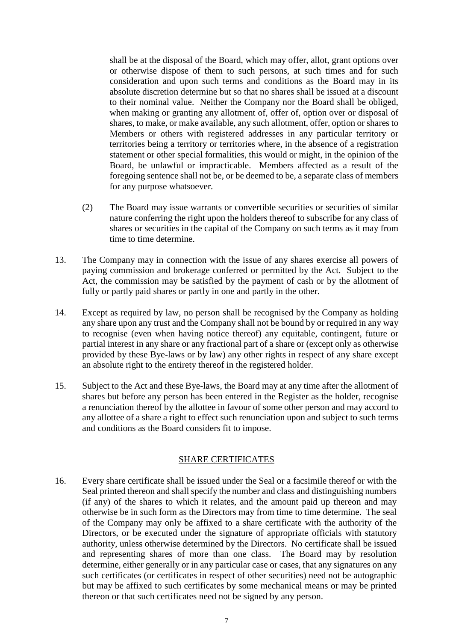shall be at the disposal of the Board, which may offer, allot, grant options over or otherwise dispose of them to such persons, at such times and for such consideration and upon such terms and conditions as the Board may in its absolute discretion determine but so that no shares shall be issued at a discount to their nominal value. Neither the Company nor the Board shall be obliged, when making or granting any allotment of, offer of, option over or disposal of shares, to make, or make available, any such allotment, offer, option or shares to Members or others with registered addresses in any particular territory or territories being a territory or territories where, in the absence of a registration statement or other special formalities, this would or might, in the opinion of the Board, be unlawful or impracticable. Members affected as a result of the foregoing sentence shall not be, or be deemed to be, a separate class of members for any purpose whatsoever.

- (2) The Board may issue warrants or convertible securities or securities of similar nature conferring the right upon the holders thereof to subscribe for any class of shares or securities in the capital of the Company on such terms as it may from time to time determine.
- 13. The Company may in connection with the issue of any shares exercise all powers of paying commission and brokerage conferred or permitted by the Act. Subject to the Act, the commission may be satisfied by the payment of cash or by the allotment of fully or partly paid shares or partly in one and partly in the other.
- 14. Except as required by law, no person shall be recognised by the Company as holding any share upon any trust and the Company shall not be bound by or required in any way to recognise (even when having notice thereof) any equitable, contingent, future or partial interest in any share or any fractional part of a share or (except only as otherwise provided by these Bye-laws or by law) any other rights in respect of any share except an absolute right to the entirety thereof in the registered holder.
- 15. Subject to the Act and these Bye-laws, the Board may at any time after the allotment of shares but before any person has been entered in the Register as the holder, recognise a renunciation thereof by the allottee in favour of some other person and may accord to any allottee of a share a right to effect such renunciation upon and subject to such terms and conditions as the Board considers fit to impose.

### SHARE CERTIFICATES

16. Every share certificate shall be issued under the Seal or a facsimile thereof or with the Seal printed thereon and shall specify the number and class and distinguishing numbers (if any) of the shares to which it relates, and the amount paid up thereon and may otherwise be in such form as the Directors may from time to time determine. The seal of the Company may only be affixed to a share certificate with the authority of the Directors, or be executed under the signature of appropriate officials with statutory authority, unless otherwise determined by the Directors. No certificate shall be issued and representing shares of more than one class. The Board may by resolution determine, either generally or in any particular case or cases, that any signatures on any such certificates (or certificates in respect of other securities) need not be autographic but may be affixed to such certificates by some mechanical means or may be printed thereon or that such certificates need not be signed by any person.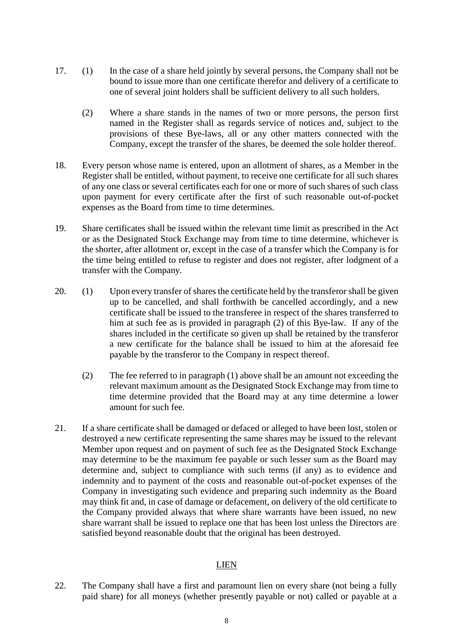- 17. (1) In the case of a share held jointly by several persons, the Company shall not be bound to issue more than one certificate therefor and delivery of a certificate to one of several joint holders shall be sufficient delivery to all such holders.
	- (2) Where a share stands in the names of two or more persons, the person first named in the Register shall as regards service of notices and, subject to the provisions of these Bye-laws, all or any other matters connected with the Company, except the transfer of the shares, be deemed the sole holder thereof.
- 18. Every person whose name is entered, upon an allotment of shares, as a Member in the Register shall be entitled, without payment, to receive one certificate for all such shares of any one class or several certificates each for one or more of such shares of such class upon payment for every certificate after the first of such reasonable out-of-pocket expenses as the Board from time to time determines.
- 19. Share certificates shall be issued within the relevant time limit as prescribed in the Act or as the Designated Stock Exchange may from time to time determine, whichever is the shorter, after allotment or, except in the case of a transfer which the Company is for the time being entitled to refuse to register and does not register, after lodgment of a transfer with the Company.
- 20. (1) Upon every transfer of shares the certificate held by the transferor shall be given up to be cancelled, and shall forthwith be cancelled accordingly, and a new certificate shall be issued to the transferee in respect of the shares transferred to him at such fee as is provided in paragraph (2) of this Bye-law. If any of the shares included in the certificate so given up shall be retained by the transferor a new certificate for the balance shall be issued to him at the aforesaid fee payable by the transferor to the Company in respect thereof.
	- (2) The fee referred to in paragraph (1) above shall be an amount not exceeding the relevant maximum amount as the Designated Stock Exchange may from time to time determine provided that the Board may at any time determine a lower amount for such fee.
- 21. If a share certificate shall be damaged or defaced or alleged to have been lost, stolen or destroyed a new certificate representing the same shares may be issued to the relevant Member upon request and on payment of such fee as the Designated Stock Exchange may determine to be the maximum fee payable or such lesser sum as the Board may determine and, subject to compliance with such terms (if any) as to evidence and indemnity and to payment of the costs and reasonable out-of-pocket expenses of the Company in investigating such evidence and preparing such indemnity as the Board may think fit and, in case of damage or defacement, on delivery of the old certificate to the Company provided always that where share warrants have been issued, no new share warrant shall be issued to replace one that has been lost unless the Directors are satisfied beyond reasonable doubt that the original has been destroyed.

### LIEN

22. The Company shall have a first and paramount lien on every share (not being a fully paid share) for all moneys (whether presently payable or not) called or payable at a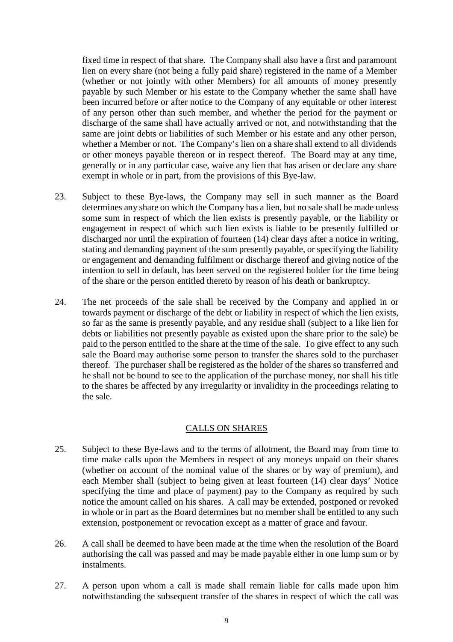fixed time in respect of that share. The Company shall also have a first and paramount lien on every share (not being a fully paid share) registered in the name of a Member (whether or not jointly with other Members) for all amounts of money presently payable by such Member or his estate to the Company whether the same shall have been incurred before or after notice to the Company of any equitable or other interest of any person other than such member, and whether the period for the payment or discharge of the same shall have actually arrived or not, and notwithstanding that the same are joint debts or liabilities of such Member or his estate and any other person, whether a Member or not. The Company's lien on a share shall extend to all dividends or other moneys payable thereon or in respect thereof. The Board may at any time, generally or in any particular case, waive any lien that has arisen or declare any share exempt in whole or in part, from the provisions of this Bye-law.

- 23. Subject to these Bye-laws, the Company may sell in such manner as the Board determines any share on which the Company has a lien, but no sale shall be made unless some sum in respect of which the lien exists is presently payable, or the liability or engagement in respect of which such lien exists is liable to be presently fulfilled or discharged nor until the expiration of fourteen (14) clear days after a notice in writing, stating and demanding payment of the sum presently payable, or specifying the liability or engagement and demanding fulfilment or discharge thereof and giving notice of the intention to sell in default, has been served on the registered holder for the time being of the share or the person entitled thereto by reason of his death or bankruptcy.
- 24. The net proceeds of the sale shall be received by the Company and applied in or towards payment or discharge of the debt or liability in respect of which the lien exists, so far as the same is presently payable, and any residue shall (subject to a like lien for debts or liabilities not presently payable as existed upon the share prior to the sale) be paid to the person entitled to the share at the time of the sale. To give effect to any such sale the Board may authorise some person to transfer the shares sold to the purchaser thereof. The purchaser shall be registered as the holder of the shares so transferred and he shall not be bound to see to the application of the purchase money, nor shall his title to the shares be affected by any irregularity or invalidity in the proceedings relating to the sale.

### CALLS ON SHARES

- 25. Subject to these Bye-laws and to the terms of allotment, the Board may from time to time make calls upon the Members in respect of any moneys unpaid on their shares (whether on account of the nominal value of the shares or by way of premium), and each Member shall (subject to being given at least fourteen (14) clear days' Notice specifying the time and place of payment) pay to the Company as required by such notice the amount called on his shares. A call may be extended, postponed or revoked in whole or in part as the Board determines but no member shall be entitled to any such extension, postponement or revocation except as a matter of grace and favour.
- 26. A call shall be deemed to have been made at the time when the resolution of the Board authorising the call was passed and may be made payable either in one lump sum or by instalments.
- 27. A person upon whom a call is made shall remain liable for calls made upon him notwithstanding the subsequent transfer of the shares in respect of which the call was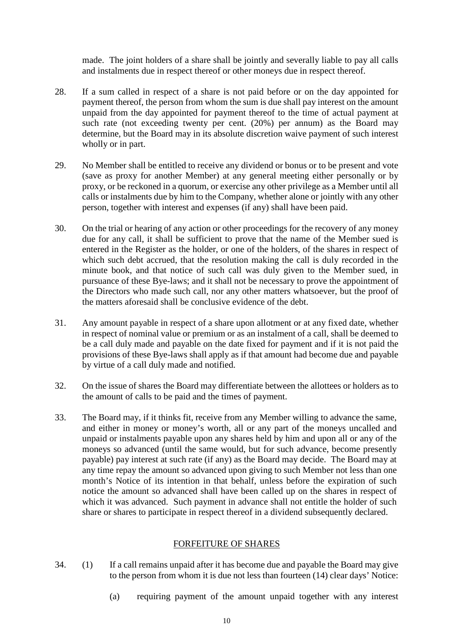made. The joint holders of a share shall be jointly and severally liable to pay all calls and instalments due in respect thereof or other moneys due in respect thereof.

- 28. If a sum called in respect of a share is not paid before or on the day appointed for payment thereof, the person from whom the sum is due shall pay interest on the amount unpaid from the day appointed for payment thereof to the time of actual payment at such rate (not exceeding twenty per cent. (20%) per annum) as the Board may determine, but the Board may in its absolute discretion waive payment of such interest wholly or in part.
- 29. No Member shall be entitled to receive any dividend or bonus or to be present and vote (save as proxy for another Member) at any general meeting either personally or by proxy, or be reckoned in a quorum, or exercise any other privilege as a Member until all calls or instalments due by him to the Company, whether alone or jointly with any other person, together with interest and expenses (if any) shall have been paid.
- 30. On the trial or hearing of any action or other proceedings for the recovery of any money due for any call, it shall be sufficient to prove that the name of the Member sued is entered in the Register as the holder, or one of the holders, of the shares in respect of which such debt accrued, that the resolution making the call is duly recorded in the minute book, and that notice of such call was duly given to the Member sued, in pursuance of these Bye-laws; and it shall not be necessary to prove the appointment of the Directors who made such call, nor any other matters whatsoever, but the proof of the matters aforesaid shall be conclusive evidence of the debt.
- 31. Any amount payable in respect of a share upon allotment or at any fixed date, whether in respect of nominal value or premium or as an instalment of a call, shall be deemed to be a call duly made and payable on the date fixed for payment and if it is not paid the provisions of these Bye-laws shall apply as if that amount had become due and payable by virtue of a call duly made and notified.
- 32. On the issue of shares the Board may differentiate between the allottees or holders as to the amount of calls to be paid and the times of payment.
- 33. The Board may, if it thinks fit, receive from any Member willing to advance the same, and either in money or money's worth, all or any part of the moneys uncalled and unpaid or instalments payable upon any shares held by him and upon all or any of the moneys so advanced (until the same would, but for such advance, become presently payable) pay interest at such rate (if any) as the Board may decide. The Board may at any time repay the amount so advanced upon giving to such Member not less than one month's Notice of its intention in that behalf, unless before the expiration of such notice the amount so advanced shall have been called up on the shares in respect of which it was advanced. Such payment in advance shall not entitle the holder of such share or shares to participate in respect thereof in a dividend subsequently declared.

# FORFEITURE OF SHARES

- 34. (1) If a call remains unpaid after it has become due and payable the Board may give to the person from whom it is due not less than fourteen (14) clear days' Notice:
	- (a) requiring payment of the amount unpaid together with any interest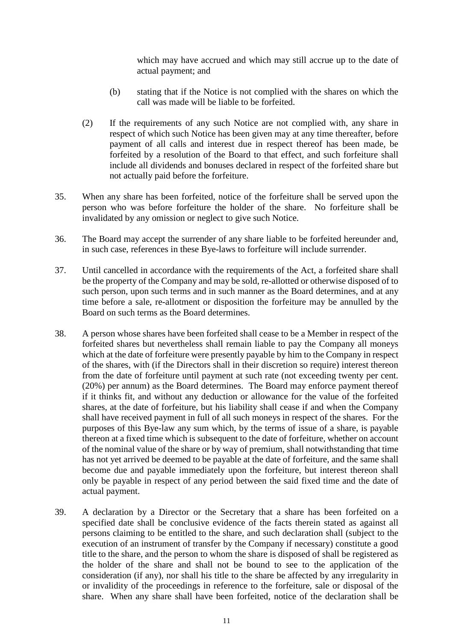which may have accrued and which may still accrue up to the date of actual payment; and

- (b) stating that if the Notice is not complied with the shares on which the call was made will be liable to be forfeited.
- (2) If the requirements of any such Notice are not complied with, any share in respect of which such Notice has been given may at any time thereafter, before payment of all calls and interest due in respect thereof has been made, be forfeited by a resolution of the Board to that effect, and such forfeiture shall include all dividends and bonuses declared in respect of the forfeited share but not actually paid before the forfeiture.
- 35. When any share has been forfeited, notice of the forfeiture shall be served upon the person who was before forfeiture the holder of the share. No forfeiture shall be invalidated by any omission or neglect to give such Notice.
- 36. The Board may accept the surrender of any share liable to be forfeited hereunder and, in such case, references in these Bye-laws to forfeiture will include surrender.
- 37. Until cancelled in accordance with the requirements of the Act, a forfeited share shall be the property of the Company and may be sold, re-allotted or otherwise disposed of to such person, upon such terms and in such manner as the Board determines, and at any time before a sale, re-allotment or disposition the forfeiture may be annulled by the Board on such terms as the Board determines.
- 38. A person whose shares have been forfeited shall cease to be a Member in respect of the forfeited shares but nevertheless shall remain liable to pay the Company all moneys which at the date of forfeiture were presently payable by him to the Company in respect of the shares, with (if the Directors shall in their discretion so require) interest thereon from the date of forfeiture until payment at such rate (not exceeding twenty per cent. (20%) per annum) as the Board determines. The Board may enforce payment thereof if it thinks fit, and without any deduction or allowance for the value of the forfeited shares, at the date of forfeiture, but his liability shall cease if and when the Company shall have received payment in full of all such moneys in respect of the shares. For the purposes of this Bye-law any sum which, by the terms of issue of a share, is payable thereon at a fixed time which is subsequent to the date of forfeiture, whether on account of the nominal value of the share or by way of premium, shall notwithstanding that time has not yet arrived be deemed to be payable at the date of forfeiture, and the same shall become due and payable immediately upon the forfeiture, but interest thereon shall only be payable in respect of any period between the said fixed time and the date of actual payment.
- 39. A declaration by a Director or the Secretary that a share has been forfeited on a specified date shall be conclusive evidence of the facts therein stated as against all persons claiming to be entitled to the share, and such declaration shall (subject to the execution of an instrument of transfer by the Company if necessary) constitute a good title to the share, and the person to whom the share is disposed of shall be registered as the holder of the share and shall not be bound to see to the application of the consideration (if any), nor shall his title to the share be affected by any irregularity in or invalidity of the proceedings in reference to the forfeiture, sale or disposal of the share. When any share shall have been forfeited, notice of the declaration shall be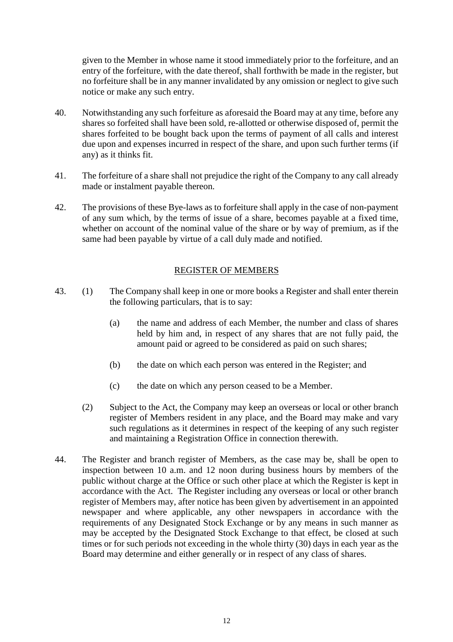given to the Member in whose name it stood immediately prior to the forfeiture, and an entry of the forfeiture, with the date thereof, shall forthwith be made in the register, but no forfeiture shall be in any manner invalidated by any omission or neglect to give such notice or make any such entry.

- 40. Notwithstanding any such forfeiture as aforesaid the Board may at any time, before any shares so forfeited shall have been sold, re-allotted or otherwise disposed of, permit the shares forfeited to be bought back upon the terms of payment of all calls and interest due upon and expenses incurred in respect of the share, and upon such further terms (if any) as it thinks fit.
- 41. The forfeiture of a share shall not prejudice the right of the Company to any call already made or instalment payable thereon.
- 42. The provisions of these Bye-laws as to forfeiture shall apply in the case of non-payment of any sum which, by the terms of issue of a share, becomes payable at a fixed time, whether on account of the nominal value of the share or by way of premium, as if the same had been payable by virtue of a call duly made and notified.

# REGISTER OF MEMBERS

- 43. (1) The Company shall keep in one or more books a Register and shall enter therein the following particulars, that is to say:
	- (a) the name and address of each Member, the number and class of shares held by him and, in respect of any shares that are not fully paid, the amount paid or agreed to be considered as paid on such shares;
	- (b) the date on which each person was entered in the Register; and
	- (c) the date on which any person ceased to be a Member.
	- (2) Subject to the Act, the Company may keep an overseas or local or other branch register of Members resident in any place, and the Board may make and vary such regulations as it determines in respect of the keeping of any such register and maintaining a Registration Office in connection therewith.
- 44. The Register and branch register of Members, as the case may be, shall be open to inspection between 10 a.m. and 12 noon during business hours by members of the public without charge at the Office or such other place at which the Register is kept in accordance with the Act. The Register including any overseas or local or other branch register of Members may, after notice has been given by advertisement in an appointed newspaper and where applicable, any other newspapers in accordance with the requirements of any Designated Stock Exchange or by any means in such manner as may be accepted by the Designated Stock Exchange to that effect, be closed at such times or for such periods not exceeding in the whole thirty (30) days in each year as the Board may determine and either generally or in respect of any class of shares.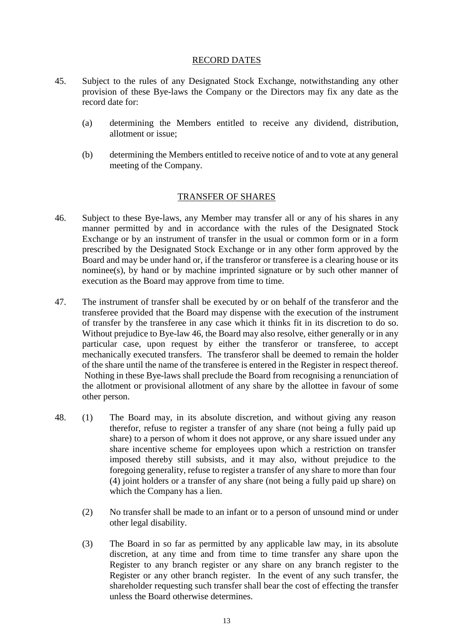#### RECORD DATES

- 45. Subject to the rules of any Designated Stock Exchange, notwithstanding any other provision of these Bye-laws the Company or the Directors may fix any date as the record date for:
	- (a) determining the Members entitled to receive any dividend, distribution, allotment or issue;
	- (b) determining the Members entitled to receive notice of and to vote at any general meeting of the Company.

#### TRANSFER OF SHARES

- 46. Subject to these Bye-laws, any Member may transfer all or any of his shares in any manner permitted by and in accordance with the rules of the Designated Stock Exchange or by an instrument of transfer in the usual or common form or in a form prescribed by the Designated Stock Exchange or in any other form approved by the Board and may be under hand or, if the transferor or transferee is a clearing house or its nominee(s), by hand or by machine imprinted signature or by such other manner of execution as the Board may approve from time to time.
- 47. The instrument of transfer shall be executed by or on behalf of the transferor and the transferee provided that the Board may dispense with the execution of the instrument of transfer by the transferee in any case which it thinks fit in its discretion to do so. Without prejudice to Bye-law 46, the Board may also resolve, either generally or in any particular case, upon request by either the transferor or transferee, to accept mechanically executed transfers. The transferor shall be deemed to remain the holder of the share until the name of the transferee is entered in the Register in respect thereof. Nothing in these Bye-laws shall preclude the Board from recognising a renunciation of the allotment or provisional allotment of any share by the allottee in favour of some other person.
- 48. (1) The Board may, in its absolute discretion, and without giving any reason therefor, refuse to register a transfer of any share (not being a fully paid up share) to a person of whom it does not approve, or any share issued under any share incentive scheme for employees upon which a restriction on transfer imposed thereby still subsists, and it may also, without prejudice to the foregoing generality, refuse to register a transfer of any share to more than four (4) joint holders or a transfer of any share (not being a fully paid up share) on which the Company has a lien.
	- (2) No transfer shall be made to an infant or to a person of unsound mind or under other legal disability.
	- (3) The Board in so far as permitted by any applicable law may, in its absolute discretion, at any time and from time to time transfer any share upon the Register to any branch register or any share on any branch register to the Register or any other branch register. In the event of any such transfer, the shareholder requesting such transfer shall bear the cost of effecting the transfer unless the Board otherwise determines.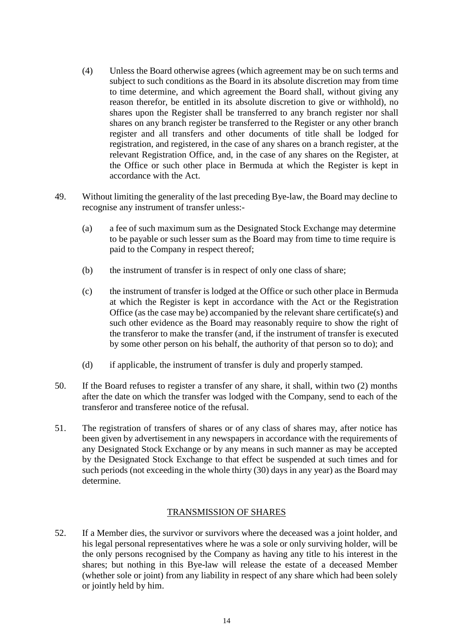- (4) Unless the Board otherwise agrees (which agreement may be on such terms and subject to such conditions as the Board in its absolute discretion may from time to time determine, and which agreement the Board shall, without giving any reason therefor, be entitled in its absolute discretion to give or withhold), no shares upon the Register shall be transferred to any branch register nor shall shares on any branch register be transferred to the Register or any other branch register and all transfers and other documents of title shall be lodged for registration, and registered, in the case of any shares on a branch register, at the relevant Registration Office, and, in the case of any shares on the Register, at the Office or such other place in Bermuda at which the Register is kept in accordance with the Act.
- 49. Without limiting the generality of the last preceding Bye-law, the Board may decline to recognise any instrument of transfer unless:-
	- (a) a fee of such maximum sum as the Designated Stock Exchange may determine to be payable or such lesser sum as the Board may from time to time require is paid to the Company in respect thereof;
	- (b) the instrument of transfer is in respect of only one class of share;
	- (c) the instrument of transfer is lodged at the Office or such other place in Bermuda at which the Register is kept in accordance with the Act or the Registration Office (as the case may be) accompanied by the relevant share certificate(s) and such other evidence as the Board may reasonably require to show the right of the transferor to make the transfer (and, if the instrument of transfer is executed by some other person on his behalf, the authority of that person so to do); and
	- (d) if applicable, the instrument of transfer is duly and properly stamped.
- 50. If the Board refuses to register a transfer of any share, it shall, within two (2) months after the date on which the transfer was lodged with the Company, send to each of the transferor and transferee notice of the refusal.
- 51. The registration of transfers of shares or of any class of shares may, after notice has been given by advertisement in any newspapers in accordance with the requirements of any Designated Stock Exchange or by any means in such manner as may be accepted by the Designated Stock Exchange to that effect be suspended at such times and for such periods (not exceeding in the whole thirty (30) days in any year) as the Board may determine.

### TRANSMISSION OF SHARES

52. If a Member dies, the survivor or survivors where the deceased was a joint holder, and his legal personal representatives where he was a sole or only surviving holder, will be the only persons recognised by the Company as having any title to his interest in the shares; but nothing in this Bye-law will release the estate of a deceased Member (whether sole or joint) from any liability in respect of any share which had been solely or jointly held by him.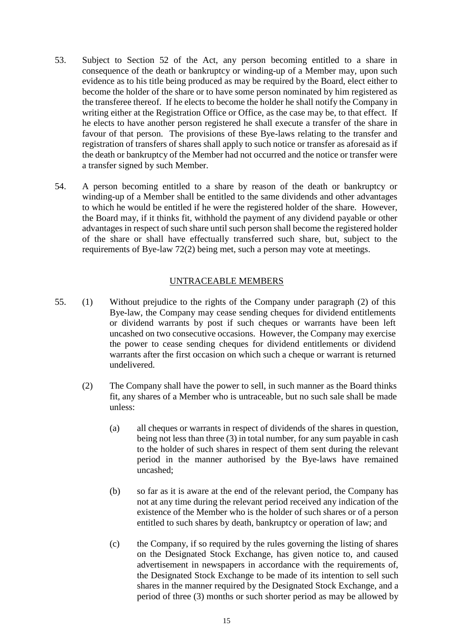- 53. Subject to Section 52 of the Act, any person becoming entitled to a share in consequence of the death or bankruptcy or winding-up of a Member may, upon such evidence as to his title being produced as may be required by the Board, elect either to become the holder of the share or to have some person nominated by him registered as the transferee thereof. If he elects to become the holder he shall notify the Company in writing either at the Registration Office or Office, as the case may be, to that effect. If he elects to have another person registered he shall execute a transfer of the share in favour of that person. The provisions of these Bye-laws relating to the transfer and registration of transfers of shares shall apply to such notice or transfer as aforesaid as if the death or bankruptcy of the Member had not occurred and the notice or transfer were a transfer signed by such Member.
- 54. A person becoming entitled to a share by reason of the death or bankruptcy or winding-up of a Member shall be entitled to the same dividends and other advantages to which he would be entitled if he were the registered holder of the share. However, the Board may, if it thinks fit, withhold the payment of any dividend payable or other advantages in respect of such share until such person shall become the registered holder of the share or shall have effectually transferred such share, but, subject to the requirements of Bye-law 72(2) being met, such a person may vote at meetings.

#### UNTRACEABLE MEMBERS

- 55. (1) Without prejudice to the rights of the Company under paragraph (2) of this Bye-law, the Company may cease sending cheques for dividend entitlements or dividend warrants by post if such cheques or warrants have been left uncashed on two consecutive occasions. However, the Company may exercise the power to cease sending cheques for dividend entitlements or dividend warrants after the first occasion on which such a cheque or warrant is returned undelivered.
	- (2) The Company shall have the power to sell, in such manner as the Board thinks fit, any shares of a Member who is untraceable, but no such sale shall be made unless:
		- (a) all cheques or warrants in respect of dividends of the shares in question, being not less than three (3) in total number, for any sum payable in cash to the holder of such shares in respect of them sent during the relevant period in the manner authorised by the Bye-laws have remained uncashed;
		- (b) so far as it is aware at the end of the relevant period, the Company has not at any time during the relevant period received any indication of the existence of the Member who is the holder of such shares or of a person entitled to such shares by death, bankruptcy or operation of law; and
		- (c) the Company, if so required by the rules governing the listing of shares on the Designated Stock Exchange, has given notice to, and caused advertisement in newspapers in accordance with the requirements of, the Designated Stock Exchange to be made of its intention to sell such shares in the manner required by the Designated Stock Exchange, and a period of three (3) months or such shorter period as may be allowed by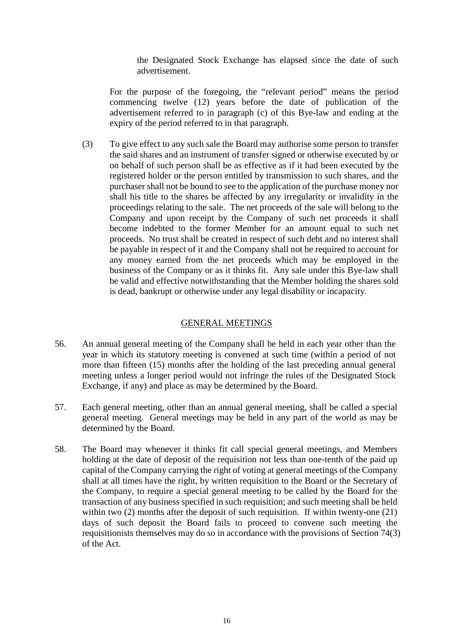the Designated Stock Exchange has elapsed since the date of such advertisement.

For the purpose of the foregoing, the "relevant period" means the period commencing twelve (12) years before the date of publication of the advertisement referred to in paragraph (c) of this Bye-law and ending at the expiry of the period referred to in that paragraph.

(3) To give effect to any such sale the Board may authorise some person to transfer the said shares and an instrument of transfer signed or otherwise executed by or on behalf of such person shall be as effective as if it had been executed by the registered holder or the person entitled by transmission to such shares, and the purchaser shall not be bound to see to the application of the purchase money nor shall his title to the shares be affected by any irregularity or invalidity in the proceedings relating to the sale. The net proceeds of the sale will belong to the Company and upon receipt by the Company of such net proceeds it shall become indebted to the former Member for an amount equal to such net proceeds. No trust shall be created in respect of such debt and no interest shall be payable in respect of it and the Company shall not be required to account for any money earned from the net proceeds which may be employed in the business of the Company or as it thinks fit. Any sale under this Bye-law shall be valid and effective notwithstanding that the Member holding the shares sold is dead, bankrupt or otherwise under any legal disability or incapacity.

### GENERAL MEETINGS

- 56. An annual general meeting of the Company shall be held in each year other than the year in which its statutory meeting is convened at such time (within a period of not more than fifteen (15) months after the holding of the last preceding annual general meeting unless a longer period would not infringe the rules of the Designated Stock Exchange, if any) and place as may be determined by the Board.
- 57. Each general meeting, other than an annual general meeting, shall be called a special general meeting. General meetings may be held in any part of the world as may be determined by the Board.
- 58. The Board may whenever it thinks fit call special general meetings, and Members holding at the date of deposit of the requisition not less than one-tenth of the paid up capital of the Company carrying the right of voting at general meetings of the Company shall at all times have the right, by written requisition to the Board or the Secretary of the Company, to require a special general meeting to be called by the Board for the transaction of any business specified in such requisition; and such meeting shall be held within two (2) months after the deposit of such requisition. If within twenty-one (21) days of such deposit the Board fails to proceed to convene such meeting the requisitionists themselves may do so in accordance with the provisions of Section 74(3) of the Act.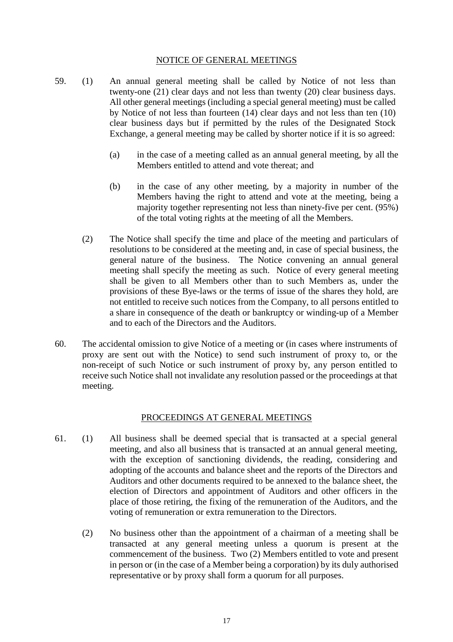#### NOTICE OF GENERAL MEETINGS

- 59. (1) An annual general meeting shall be called by Notice of not less than twenty-one (21) clear days and not less than twenty (20) clear business days. All other general meetings (including a special general meeting) must be called by Notice of not less than fourteen (14) clear days and not less than ten (10) clear business days but if permitted by the rules of the Designated Stock Exchange, a general meeting may be called by shorter notice if it is so agreed:
	- (a) in the case of a meeting called as an annual general meeting, by all the Members entitled to attend and vote thereat: and
	- (b) in the case of any other meeting, by a majority in number of the Members having the right to attend and vote at the meeting, being a majority together representing not less than ninety-five per cent. (95%) of the total voting rights at the meeting of all the Members.
	- (2) The Notice shall specify the time and place of the meeting and particulars of resolutions to be considered at the meeting and, in case of special business, the general nature of the business. The Notice convening an annual general meeting shall specify the meeting as such. Notice of every general meeting shall be given to all Members other than to such Members as, under the provisions of these Bye-laws or the terms of issue of the shares they hold, are not entitled to receive such notices from the Company, to all persons entitled to a share in consequence of the death or bankruptcy or winding-up of a Member and to each of the Directors and the Auditors.
- 60. The accidental omission to give Notice of a meeting or (in cases where instruments of proxy are sent out with the Notice) to send such instrument of proxy to, or the non-receipt of such Notice or such instrument of proxy by, any person entitled to receive such Notice shall not invalidate any resolution passed or the proceedings at that meeting.

#### PROCEEDINGS AT GENERAL MEETINGS

- 61. (1) All business shall be deemed special that is transacted at a special general meeting, and also all business that is transacted at an annual general meeting, with the exception of sanctioning dividends, the reading, considering and adopting of the accounts and balance sheet and the reports of the Directors and Auditors and other documents required to be annexed to the balance sheet, the election of Directors and appointment of Auditors and other officers in the place of those retiring, the fixing of the remuneration of the Auditors, and the voting of remuneration or extra remuneration to the Directors.
	- (2) No business other than the appointment of a chairman of a meeting shall be transacted at any general meeting unless a quorum is present at the commencement of the business. Two (2) Members entitled to vote and present in person or (in the case of a Member being a corporation) by its duly authorised representative or by proxy shall form a quorum for all purposes.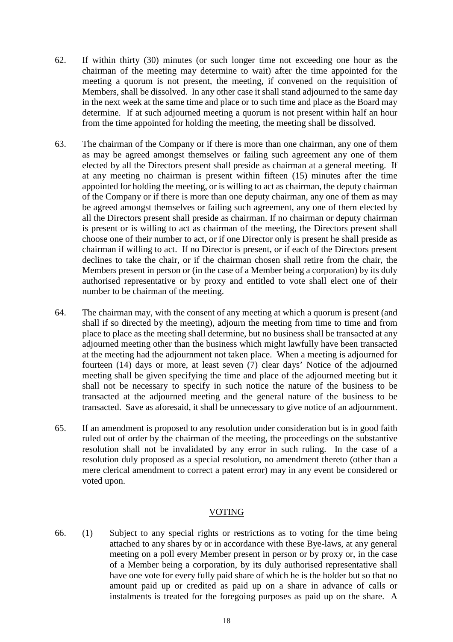- 62. If within thirty (30) minutes (or such longer time not exceeding one hour as the chairman of the meeting may determine to wait) after the time appointed for the meeting a quorum is not present, the meeting, if convened on the requisition of Members, shall be dissolved. In any other case it shall stand adjourned to the same day in the next week at the same time and place or to such time and place as the Board may determine. If at such adjourned meeting a quorum is not present within half an hour from the time appointed for holding the meeting, the meeting shall be dissolved.
- 63. The chairman of the Company or if there is more than one chairman, any one of them as may be agreed amongst themselves or failing such agreement any one of them elected by all the Directors present shall preside as chairman at a general meeting. If at any meeting no chairman is present within fifteen (15) minutes after the time appointed for holding the meeting, or is willing to act as chairman, the deputy chairman of the Company or if there is more than one deputy chairman, any one of them as may be agreed amongst themselves or failing such agreement, any one of them elected by all the Directors present shall preside as chairman. If no chairman or deputy chairman is present or is willing to act as chairman of the meeting, the Directors present shall choose one of their number to act, or if one Director only is present he shall preside as chairman if willing to act. If no Director is present, or if each of the Directors present declines to take the chair, or if the chairman chosen shall retire from the chair, the Members present in person or (in the case of a Member being a corporation) by its duly authorised representative or by proxy and entitled to vote shall elect one of their number to be chairman of the meeting.
- 64. The chairman may, with the consent of any meeting at which a quorum is present (and shall if so directed by the meeting), adjourn the meeting from time to time and from place to place as the meeting shall determine, but no business shall be transacted at any adjourned meeting other than the business which might lawfully have been transacted at the meeting had the adjournment not taken place. When a meeting is adjourned for fourteen (14) days or more, at least seven (7) clear days' Notice of the adjourned meeting shall be given specifying the time and place of the adjourned meeting but it shall not be necessary to specify in such notice the nature of the business to be transacted at the adjourned meeting and the general nature of the business to be transacted. Save as aforesaid, it shall be unnecessary to give notice of an adjournment.
- 65. If an amendment is proposed to any resolution under consideration but is in good faith ruled out of order by the chairman of the meeting, the proceedings on the substantive resolution shall not be invalidated by any error in such ruling. In the case of a resolution duly proposed as a special resolution, no amendment thereto (other than a mere clerical amendment to correct a patent error) may in any event be considered or voted upon.

### VOTING

66. (1) Subject to any special rights or restrictions as to voting for the time being attached to any shares by or in accordance with these Bye-laws, at any general meeting on a poll every Member present in person or by proxy or, in the case of a Member being a corporation, by its duly authorised representative shall have one vote for every fully paid share of which he is the holder but so that no amount paid up or credited as paid up on a share in advance of calls or instalments is treated for the foregoing purposes as paid up on the share. A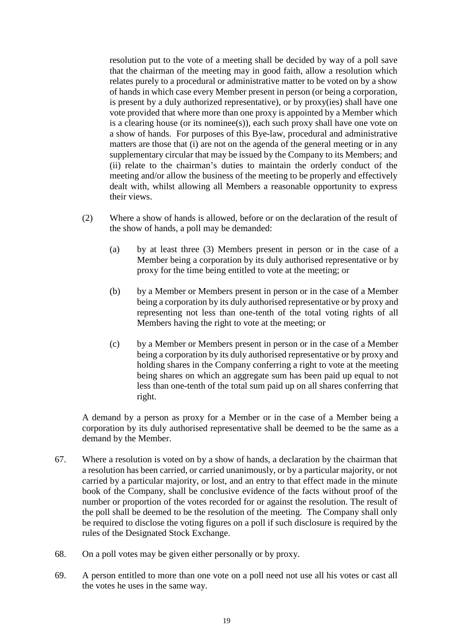resolution put to the vote of a meeting shall be decided by way of a poll save that the chairman of the meeting may in good faith, allow a resolution which relates purely to a procedural or administrative matter to be voted on by a show of hands in which case every Member present in person (or being a corporation, is present by a duly authorized representative), or by proxy(ies) shall have one vote provided that where more than one proxy is appointed by a Member which is a clearing house (or its nominee(s)), each such proxy shall have one vote on a show of hands. For purposes of this Bye-law, procedural and administrative matters are those that (i) are not on the agenda of the general meeting or in any supplementary circular that may be issued by the Company to its Members; and (ii) relate to the chairman's duties to maintain the orderly conduct of the meeting and/or allow the business of the meeting to be properly and effectively dealt with, whilst allowing all Members a reasonable opportunity to express their views.

- (2) Where a show of hands is allowed, before or on the declaration of the result of the show of hands, a poll may be demanded:
	- (a) by at least three (3) Members present in person or in the case of a Member being a corporation by its duly authorised representative or by proxy for the time being entitled to vote at the meeting; or
	- (b) by a Member or Members present in person or in the case of a Member being a corporation by its duly authorised representative or by proxy and representing not less than one-tenth of the total voting rights of all Members having the right to vote at the meeting; or
	- (c) by a Member or Members present in person or in the case of a Member being a corporation by its duly authorised representative or by proxy and holding shares in the Company conferring a right to vote at the meeting being shares on which an aggregate sum has been paid up equal to not less than one-tenth of the total sum paid up on all shares conferring that right.

A demand by a person as proxy for a Member or in the case of a Member being a corporation by its duly authorised representative shall be deemed to be the same as a demand by the Member.

- 67. Where a resolution is voted on by a show of hands, a declaration by the chairman that a resolution has been carried, or carried unanimously, or by a particular majority, or not carried by a particular majority, or lost, and an entry to that effect made in the minute book of the Company, shall be conclusive evidence of the facts without proof of the number or proportion of the votes recorded for or against the resolution. The result of the poll shall be deemed to be the resolution of the meeting. The Company shall only be required to disclose the voting figures on a poll if such disclosure is required by the rules of the Designated Stock Exchange.
- 68. On a poll votes may be given either personally or by proxy.
- 69. A person entitled to more than one vote on a poll need not use all his votes or cast all the votes he uses in the same way.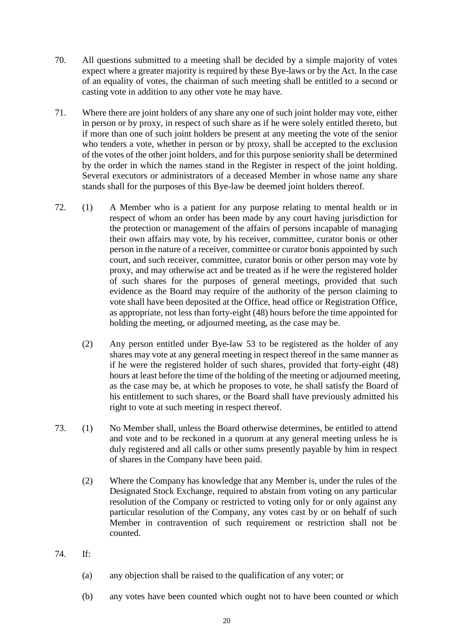- 70. All questions submitted to a meeting shall be decided by a simple majority of votes expect where a greater majority is required by these Bye-laws or by the Act. In the case of an equality of votes, the chairman of such meeting shall be entitled to a second or casting vote in addition to any other vote he may have.
- 71. Where there are joint holders of any share any one of such joint holder may vote, either in person or by proxy, in respect of such share as if he were solely entitled thereto, but if more than one of such joint holders be present at any meeting the vote of the senior who tenders a vote, whether in person or by proxy, shall be accepted to the exclusion of the votes of the other joint holders, and for this purpose seniority shall be determined by the order in which the names stand in the Register in respect of the joint holding. Several executors or administrators of a deceased Member in whose name any share stands shall for the purposes of this Bye-law be deemed joint holders thereof.
- 72. (1) A Member who is a patient for any purpose relating to mental health or in respect of whom an order has been made by any court having jurisdiction for the protection or management of the affairs of persons incapable of managing their own affairs may vote, by his receiver, committee, curator bonis or other person in the nature of a receiver, committee or curator bonis appointed by such court, and such receiver, committee, curator bonis or other person may vote by proxy, and may otherwise act and be treated as if he were the registered holder of such shares for the purposes of general meetings, provided that such evidence as the Board may require of the authority of the person claiming to vote shall have been deposited at the Office, head office or Registration Office, as appropriate, not less than forty-eight (48) hours before the time appointed for holding the meeting, or adjourned meeting, as the case may be.
	- (2) Any person entitled under Bye-law 53 to be registered as the holder of any shares may vote at any general meeting in respect thereof in the same manner as if he were the registered holder of such shares, provided that forty-eight (48) hours at least before the time of the holding of the meeting or adjourned meeting, as the case may be, at which he proposes to vote, he shall satisfy the Board of his entitlement to such shares, or the Board shall have previously admitted his right to vote at such meeting in respect thereof.
- 73. (1) No Member shall, unless the Board otherwise determines, be entitled to attend and vote and to be reckoned in a quorum at any general meeting unless he is duly registered and all calls or other sums presently payable by him in respect of shares in the Company have been paid.
	- (2) Where the Company has knowledge that any Member is, under the rules of the Designated Stock Exchange, required to abstain from voting on any particular resolution of the Company or restricted to voting only for or only against any particular resolution of the Company, any votes cast by or on behalf of such Member in contravention of such requirement or restriction shall not be counted.
- 74. If:
	- (a) any objection shall be raised to the qualification of any voter; or
	- (b) any votes have been counted which ought not to have been counted or which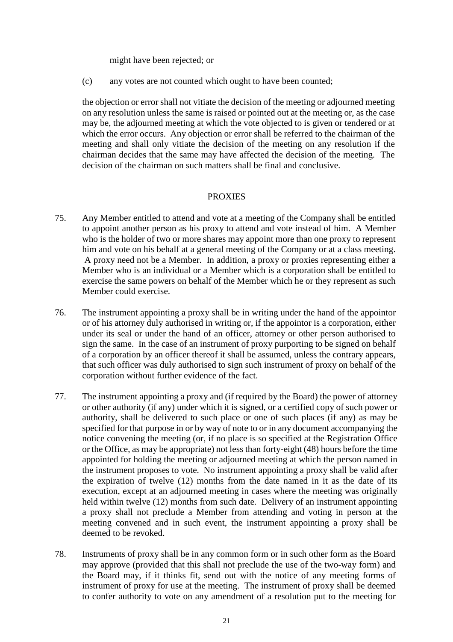might have been rejected; or

(c) any votes are not counted which ought to have been counted;

the objection or error shall not vitiate the decision of the meeting or adjourned meeting on any resolution unless the same is raised or pointed out at the meeting or, as the case may be, the adjourned meeting at which the vote objected to is given or tendered or at which the error occurs. Any objection or error shall be referred to the chairman of the meeting and shall only vitiate the decision of the meeting on any resolution if the chairman decides that the same may have affected the decision of the meeting. The decision of the chairman on such matters shall be final and conclusive.

#### PROXIES

- 75. Any Member entitled to attend and vote at a meeting of the Company shall be entitled to appoint another person as his proxy to attend and vote instead of him. A Member who is the holder of two or more shares may appoint more than one proxy to represent him and vote on his behalf at a general meeting of the Company or at a class meeting. A proxy need not be a Member. In addition, a proxy or proxies representing either a Member who is an individual or a Member which is a corporation shall be entitled to exercise the same powers on behalf of the Member which he or they represent as such Member could exercise.
- 76. The instrument appointing a proxy shall be in writing under the hand of the appointor or of his attorney duly authorised in writing or, if the appointor is a corporation, either under its seal or under the hand of an officer, attorney or other person authorised to sign the same. In the case of an instrument of proxy purporting to be signed on behalf of a corporation by an officer thereof it shall be assumed, unless the contrary appears, that such officer was duly authorised to sign such instrument of proxy on behalf of the corporation without further evidence of the fact.
- 77. The instrument appointing a proxy and (if required by the Board) the power of attorney or other authority (if any) under which it is signed, or a certified copy of such power or authority, shall be delivered to such place or one of such places (if any) as may be specified for that purpose in or by way of note to or in any document accompanying the notice convening the meeting (or, if no place is so specified at the Registration Office or the Office, as may be appropriate) not less than forty-eight (48) hours before the time appointed for holding the meeting or adjourned meeting at which the person named in the instrument proposes to vote. No instrument appointing a proxy shall be valid after the expiration of twelve (12) months from the date named in it as the date of its execution, except at an adjourned meeting in cases where the meeting was originally held within twelve (12) months from such date. Delivery of an instrument appointing a proxy shall not preclude a Member from attending and voting in person at the meeting convened and in such event, the instrument appointing a proxy shall be deemed to be revoked.
- 78. Instruments of proxy shall be in any common form or in such other form as the Board may approve (provided that this shall not preclude the use of the two-way form) and the Board may, if it thinks fit, send out with the notice of any meeting forms of instrument of proxy for use at the meeting. The instrument of proxy shall be deemed to confer authority to vote on any amendment of a resolution put to the meeting for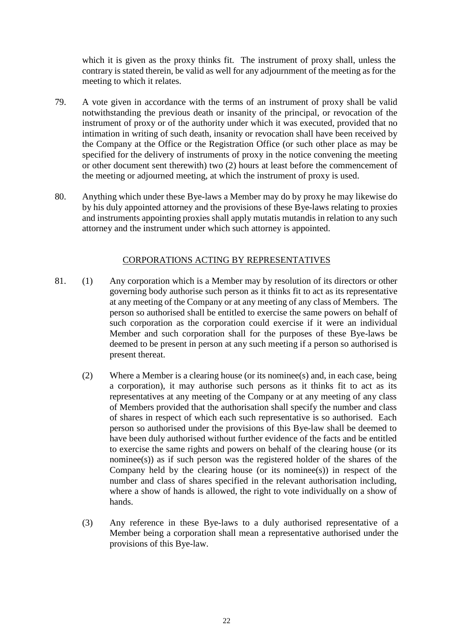which it is given as the proxy thinks fit. The instrument of proxy shall, unless the contrary is stated therein, be valid as well for any adjournment of the meeting as for the meeting to which it relates.

- 79. A vote given in accordance with the terms of an instrument of proxy shall be valid notwithstanding the previous death or insanity of the principal, or revocation of the instrument of proxy or of the authority under which it was executed, provided that no intimation in writing of such death, insanity or revocation shall have been received by the Company at the Office or the Registration Office (or such other place as may be specified for the delivery of instruments of proxy in the notice convening the meeting or other document sent therewith) two (2) hours at least before the commencement of the meeting or adjourned meeting, at which the instrument of proxy is used.
- 80. Anything which under these Bye-laws a Member may do by proxy he may likewise do by his duly appointed attorney and the provisions of these Bye-laws relating to proxies and instruments appointing proxies shall apply mutatis mutandis in relation to any such attorney and the instrument under which such attorney is appointed.

### CORPORATIONS ACTING BY REPRESENTATIVES

- 81. (1) Any corporation which is a Member may by resolution of its directors or other governing body authorise such person as it thinks fit to act as its representative at any meeting of the Company or at any meeting of any class of Members. The person so authorised shall be entitled to exercise the same powers on behalf of such corporation as the corporation could exercise if it were an individual Member and such corporation shall for the purposes of these Bye-laws be deemed to be present in person at any such meeting if a person so authorised is present thereat.
	- (2) Where a Member is a clearing house (or its nominee(s) and, in each case, being a corporation), it may authorise such persons as it thinks fit to act as its representatives at any meeting of the Company or at any meeting of any class of Members provided that the authorisation shall specify the number and class of shares in respect of which each such representative is so authorised. Each person so authorised under the provisions of this Bye-law shall be deemed to have been duly authorised without further evidence of the facts and be entitled to exercise the same rights and powers on behalf of the clearing house (or its nominee(s)) as if such person was the registered holder of the shares of the Company held by the clearing house (or its nominee(s)) in respect of the number and class of shares specified in the relevant authorisation including, where a show of hands is allowed, the right to vote individually on a show of hands.
	- (3) Any reference in these Bye-laws to a duly authorised representative of a Member being a corporation shall mean a representative authorised under the provisions of this Bye-law.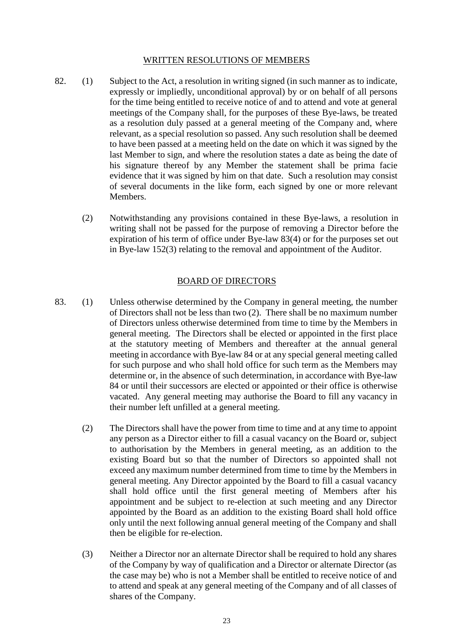#### WRITTEN RESOLUTIONS OF MEMBERS

- 82. (1) Subject to the Act, a resolution in writing signed (in such manner as to indicate, expressly or impliedly, unconditional approval) by or on behalf of all persons for the time being entitled to receive notice of and to attend and vote at general meetings of the Company shall, for the purposes of these Bye-laws, be treated as a resolution duly passed at a general meeting of the Company and, where relevant, as a special resolution so passed. Any such resolution shall be deemed to have been passed at a meeting held on the date on which it was signed by the last Member to sign, and where the resolution states a date as being the date of his signature thereof by any Member the statement shall be prima facie evidence that it was signed by him on that date. Such a resolution may consist of several documents in the like form, each signed by one or more relevant Members.
	- (2) Notwithstanding any provisions contained in these Bye-laws, a resolution in writing shall not be passed for the purpose of removing a Director before the expiration of his term of office under Bye-law 83(4) or for the purposes set out in Bye-law 152(3) relating to the removal and appointment of the Auditor.

#### BOARD OF DIRECTORS

- 83. (1) Unless otherwise determined by the Company in general meeting, the number of Directors shall not be less than two (2). There shall be no maximum number of Directors unless otherwise determined from time to time by the Members in general meeting. The Directors shall be elected or appointed in the first place at the statutory meeting of Members and thereafter at the annual general meeting in accordance with Bye-law 84 or at any special general meeting called for such purpose and who shall hold office for such term as the Members may determine or, in the absence of such determination, in accordance with Bye-law 84 or until their successors are elected or appointed or their office is otherwise vacated. Any general meeting may authorise the Board to fill any vacancy in their number left unfilled at a general meeting.
	- (2) The Directors shall have the power from time to time and at any time to appoint any person as a Director either to fill a casual vacancy on the Board or, subject to authorisation by the Members in general meeting, as an addition to the existing Board but so that the number of Directors so appointed shall not exceed any maximum number determined from time to time by the Members in general meeting. Any Director appointed by the Board to fill a casual vacancy shall hold office until the first general meeting of Members after his appointment and be subject to re-election at such meeting and any Director appointed by the Board as an addition to the existing Board shall hold office only until the next following annual general meeting of the Company and shall then be eligible for re-election.
	- (3) Neither a Director nor an alternate Director shall be required to hold any shares of the Company by way of qualification and a Director or alternate Director (as the case may be) who is not a Member shall be entitled to receive notice of and to attend and speak at any general meeting of the Company and of all classes of shares of the Company.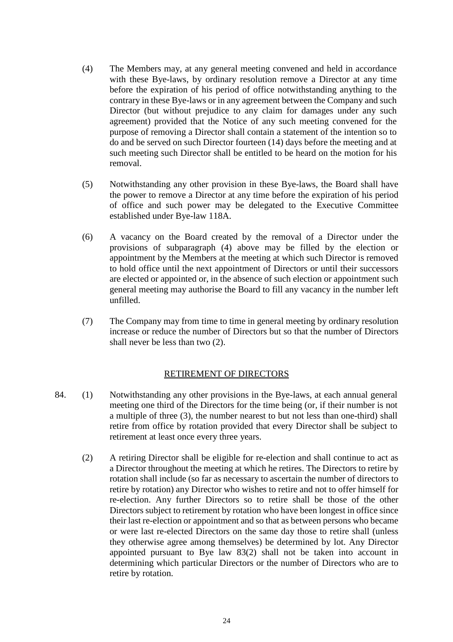- (4) The Members may, at any general meeting convened and held in accordance with these Bye-laws, by ordinary resolution remove a Director at any time before the expiration of his period of office notwithstanding anything to the contrary in these Bye-laws or in any agreement between the Company and such Director (but without prejudice to any claim for damages under any such agreement) provided that the Notice of any such meeting convened for the purpose of removing a Director shall contain a statement of the intention so to do and be served on such Director fourteen (14) days before the meeting and at such meeting such Director shall be entitled to be heard on the motion for his removal.
- (5) Notwithstanding any other provision in these Bye-laws, the Board shall have the power to remove a Director at any time before the expiration of his period of office and such power may be delegated to the Executive Committee established under Bye-law 118A.
- (6) A vacancy on the Board created by the removal of a Director under the provisions of subparagraph (4) above may be filled by the election or appointment by the Members at the meeting at which such Director is removed to hold office until the next appointment of Directors or until their successors are elected or appointed or, in the absence of such election or appointment such general meeting may authorise the Board to fill any vacancy in the number left unfilled.
- (7) The Company may from time to time in general meeting by ordinary resolution increase or reduce the number of Directors but so that the number of Directors shall never be less than two (2).

# RETIREMENT OF DIRECTORS

- 84. (1) Notwithstanding any other provisions in the Bye-laws, at each annual general meeting one third of the Directors for the time being (or, if their number is not a multiple of three (3), the number nearest to but not less than one-third) shall retire from office by rotation provided that every Director shall be subject to retirement at least once every three years.
	- (2) A retiring Director shall be eligible for re-election and shall continue to act as a Director throughout the meeting at which he retires. The Directors to retire by rotation shall include (so far as necessary to ascertain the number of directors to retire by rotation) any Director who wishes to retire and not to offer himself for re-election. Any further Directors so to retire shall be those of the other Directors subject to retirement by rotation who have been longest in office since their last re-election or appointment and so that as between persons who became or were last re-elected Directors on the same day those to retire shall (unless they otherwise agree among themselves) be determined by lot. Any Director appointed pursuant to Bye law 83(2) shall not be taken into account in determining which particular Directors or the number of Directors who are to retire by rotation.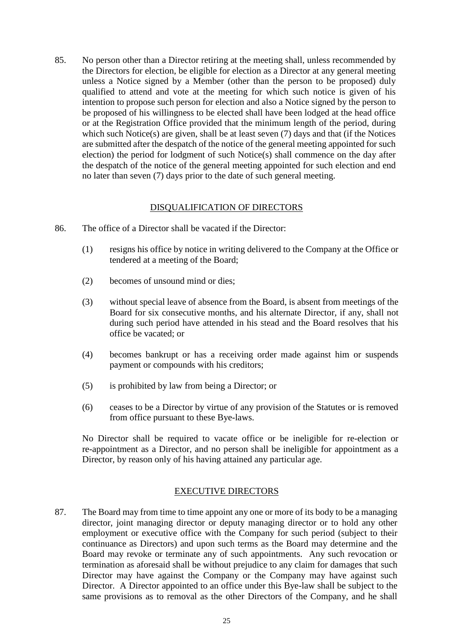85. No person other than a Director retiring at the meeting shall, unless recommended by the Directors for election, be eligible for election as a Director at any general meeting unless a Notice signed by a Member (other than the person to be proposed) duly qualified to attend and vote at the meeting for which such notice is given of his intention to propose such person for election and also a Notice signed by the person to be proposed of his willingness to be elected shall have been lodged at the head office or at the Registration Office provided that the minimum length of the period, during which such Notice(s) are given, shall be at least seven (7) days and that (if the Notices are submitted after the despatch of the notice of the general meeting appointed for such election) the period for lodgment of such Notice(s) shall commence on the day after the despatch of the notice of the general meeting appointed for such election and end no later than seven (7) days prior to the date of such general meeting.

### DISQUALIFICATION OF DIRECTORS

- 86. The office of a Director shall be vacated if the Director:
	- (1) resigns his office by notice in writing delivered to the Company at the Office or tendered at a meeting of the Board;
	- (2) becomes of unsound mind or dies;
	- (3) without special leave of absence from the Board, is absent from meetings of the Board for six consecutive months, and his alternate Director, if any, shall not during such period have attended in his stead and the Board resolves that his office be vacated; or
	- (4) becomes bankrupt or has a receiving order made against him or suspends payment or compounds with his creditors;
	- (5) is prohibited by law from being a Director; or
	- (6) ceases to be a Director by virtue of any provision of the Statutes or is removed from office pursuant to these Bye-laws.

No Director shall be required to vacate office or be ineligible for re-election or re-appointment as a Director, and no person shall be ineligible for appointment as a Director, by reason only of his having attained any particular age.

### EXECUTIVE DIRECTORS

87. The Board may from time to time appoint any one or more of its body to be a managing director, joint managing director or deputy managing director or to hold any other employment or executive office with the Company for such period (subject to their continuance as Directors) and upon such terms as the Board may determine and the Board may revoke or terminate any of such appointments. Any such revocation or termination as aforesaid shall be without prejudice to any claim for damages that such Director may have against the Company or the Company may have against such Director. A Director appointed to an office under this Bye-law shall be subject to the same provisions as to removal as the other Directors of the Company, and he shall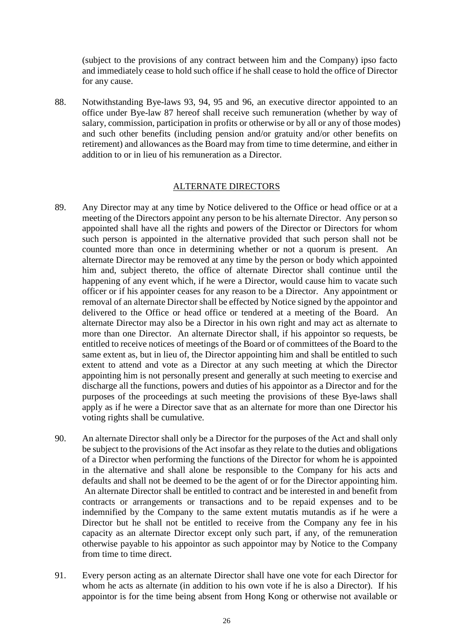(subject to the provisions of any contract between him and the Company) ipso facto and immediately cease to hold such office if he shall cease to hold the office of Director for any cause.

88. Notwithstanding Bye-laws 93, 94, 95 and 96, an executive director appointed to an office under Bye-law 87 hereof shall receive such remuneration (whether by way of salary, commission, participation in profits or otherwise or by all or any of those modes) and such other benefits (including pension and/or gratuity and/or other benefits on retirement) and allowances as the Board may from time to time determine, and either in addition to or in lieu of his remuneration as a Director.

#### ALTERNATE DIRECTORS

- 89. Any Director may at any time by Notice delivered to the Office or head office or at a meeting of the Directors appoint any person to be his alternate Director. Any person so appointed shall have all the rights and powers of the Director or Directors for whom such person is appointed in the alternative provided that such person shall not be counted more than once in determining whether or not a quorum is present. An alternate Director may be removed at any time by the person or body which appointed him and, subject thereto, the office of alternate Director shall continue until the happening of any event which, if he were a Director, would cause him to vacate such officer or if his appointer ceases for any reason to be a Director. Any appointment or removal of an alternate Director shall be effected by Notice signed by the appointor and delivered to the Office or head office or tendered at a meeting of the Board. An alternate Director may also be a Director in his own right and may act as alternate to more than one Director. An alternate Director shall, if his appointor so requests, be entitled to receive notices of meetings of the Board or of committees of the Board to the same extent as, but in lieu of, the Director appointing him and shall be entitled to such extent to attend and vote as a Director at any such meeting at which the Director appointing him is not personally present and generally at such meeting to exercise and discharge all the functions, powers and duties of his appointor as a Director and for the purposes of the proceedings at such meeting the provisions of these Bye-laws shall apply as if he were a Director save that as an alternate for more than one Director his voting rights shall be cumulative.
- 90. An alternate Director shall only be a Director for the purposes of the Act and shall only be subject to the provisions of the Act insofar as they relate to the duties and obligations of a Director when performing the functions of the Director for whom he is appointed in the alternative and shall alone be responsible to the Company for his acts and defaults and shall not be deemed to be the agent of or for the Director appointing him. An alternate Director shall be entitled to contract and be interested in and benefit from contracts or arrangements or transactions and to be repaid expenses and to be indemnified by the Company to the same extent mutatis mutandis as if he were a Director but he shall not be entitled to receive from the Company any fee in his capacity as an alternate Director except only such part, if any, of the remuneration otherwise payable to his appointor as such appointor may by Notice to the Company from time to time direct.
- 91. Every person acting as an alternate Director shall have one vote for each Director for whom he acts as alternate (in addition to his own vote if he is also a Director). If his appointor is for the time being absent from Hong Kong or otherwise not available or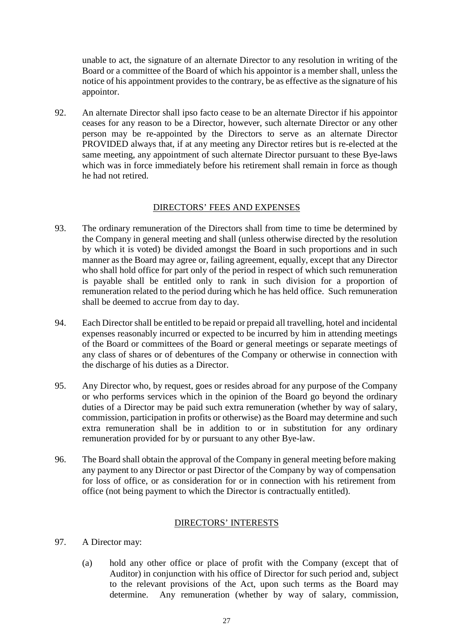unable to act, the signature of an alternate Director to any resolution in writing of the Board or a committee of the Board of which his appointor is a member shall, unless the notice of his appointment provides to the contrary, be as effective as the signature of his appointor.

92. An alternate Director shall ipso facto cease to be an alternate Director if his appointor ceases for any reason to be a Director, however, such alternate Director or any other person may be re-appointed by the Directors to serve as an alternate Director PROVIDED always that, if at any meeting any Director retires but is re-elected at the same meeting, any appointment of such alternate Director pursuant to these Bye-laws which was in force immediately before his retirement shall remain in force as though he had not retired.

### DIRECTORS' FEES AND EXPENSES

- 93. The ordinary remuneration of the Directors shall from time to time be determined by the Company in general meeting and shall (unless otherwise directed by the resolution by which it is voted) be divided amongst the Board in such proportions and in such manner as the Board may agree or, failing agreement, equally, except that any Director who shall hold office for part only of the period in respect of which such remuneration is payable shall be entitled only to rank in such division for a proportion of remuneration related to the period during which he has held office. Such remuneration shall be deemed to accrue from day to day.
- 94. Each Director shall be entitled to be repaid or prepaid all travelling, hotel and incidental expenses reasonably incurred or expected to be incurred by him in attending meetings of the Board or committees of the Board or general meetings or separate meetings of any class of shares or of debentures of the Company or otherwise in connection with the discharge of his duties as a Director.
- 95. Any Director who, by request, goes or resides abroad for any purpose of the Company or who performs services which in the opinion of the Board go beyond the ordinary duties of a Director may be paid such extra remuneration (whether by way of salary, commission, participation in profits or otherwise) as the Board may determine and such extra remuneration shall be in addition to or in substitution for any ordinary remuneration provided for by or pursuant to any other Bye-law.
- 96. The Board shall obtain the approval of the Company in general meeting before making any payment to any Director or past Director of the Company by way of compensation for loss of office, or as consideration for or in connection with his retirement from office (not being payment to which the Director is contractually entitled).

### DIRECTORS' INTERESTS

- 97. A Director may:
	- (a) hold any other office or place of profit with the Company (except that of Auditor) in conjunction with his office of Director for such period and, subject to the relevant provisions of the Act, upon such terms as the Board may determine. Any remuneration (whether by way of salary, commission,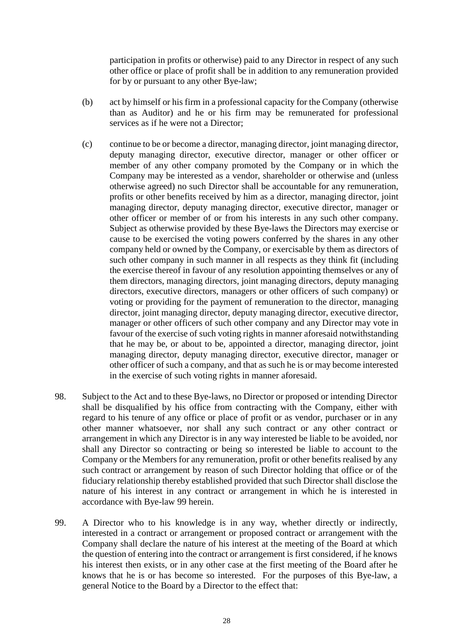participation in profits or otherwise) paid to any Director in respect of any such other office or place of profit shall be in addition to any remuneration provided for by or pursuant to any other Bye-law;

- (b) act by himself or his firm in a professional capacity for the Company (otherwise than as Auditor) and he or his firm may be remunerated for professional services as if he were not a Director;
- (c) continue to be or become a director, managing director, joint managing director, deputy managing director, executive director, manager or other officer or member of any other company promoted by the Company or in which the Company may be interested as a vendor, shareholder or otherwise and (unless otherwise agreed) no such Director shall be accountable for any remuneration, profits or other benefits received by him as a director, managing director, joint managing director, deputy managing director, executive director, manager or other officer or member of or from his interests in any such other company. Subject as otherwise provided by these Bye-laws the Directors may exercise or cause to be exercised the voting powers conferred by the shares in any other company held or owned by the Company, or exercisable by them as directors of such other company in such manner in all respects as they think fit (including the exercise thereof in favour of any resolution appointing themselves or any of them directors, managing directors, joint managing directors, deputy managing directors, executive directors, managers or other officers of such company) or voting or providing for the payment of remuneration to the director, managing director, joint managing director, deputy managing director, executive director, manager or other officers of such other company and any Director may vote in favour of the exercise of such voting rights in manner aforesaid notwithstanding that he may be, or about to be, appointed a director, managing director, joint managing director, deputy managing director, executive director, manager or other officer of such a company, and that as such he is or may become interested in the exercise of such voting rights in manner aforesaid.
- 98. Subject to the Act and to these Bye-laws, no Director or proposed or intending Director shall be disqualified by his office from contracting with the Company, either with regard to his tenure of any office or place of profit or as vendor, purchaser or in any other manner whatsoever, nor shall any such contract or any other contract or arrangement in which any Director is in any way interested be liable to be avoided, nor shall any Director so contracting or being so interested be liable to account to the Company or the Members for any remuneration, profit or other benefits realised by any such contract or arrangement by reason of such Director holding that office or of the fiduciary relationship thereby established provided that such Director shall disclose the nature of his interest in any contract or arrangement in which he is interested in accordance with Bye-law 99 herein.
- 99. A Director who to his knowledge is in any way, whether directly or indirectly, interested in a contract or arrangement or proposed contract or arrangement with the Company shall declare the nature of his interest at the meeting of the Board at which the question of entering into the contract or arrangement is first considered, if he knows his interest then exists, or in any other case at the first meeting of the Board after he knows that he is or has become so interested. For the purposes of this Bye-law, a general Notice to the Board by a Director to the effect that: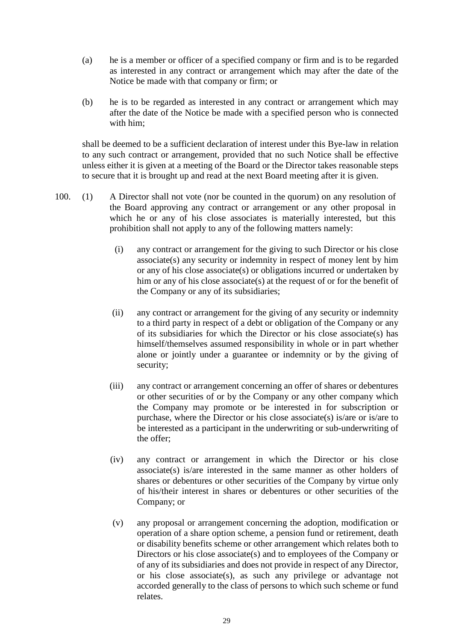- (a) he is a member or officer of a specified company or firm and is to be regarded as interested in any contract or arrangement which may after the date of the Notice be made with that company or firm; or
- (b) he is to be regarded as interested in any contract or arrangement which may after the date of the Notice be made with a specified person who is connected with him;

shall be deemed to be a sufficient declaration of interest under this Bye-law in relation to any such contract or arrangement, provided that no such Notice shall be effective unless either it is given at a meeting of the Board or the Director takes reasonable steps to secure that it is brought up and read at the next Board meeting after it is given.

- 100. (1) A Director shall not vote (nor be counted in the quorum) on any resolution of the Board approving any contract or arrangement or any other proposal in which he or any of his close associates is materially interested, but this prohibition shall not apply to any of the following matters namely:
	- (i) any contract or arrangement for the giving to such Director or his close associate(s) any security or indemnity in respect of money lent by him or any of his close associate(s) or obligations incurred or undertaken by him or any of his close associate(s) at the request of or for the benefit of the Company or any of its subsidiaries;
	- (ii) any contract or arrangement for the giving of any security or indemnity to a third party in respect of a debt or obligation of the Company or any of its subsidiaries for which the Director or his close associate(s) has himself/themselves assumed responsibility in whole or in part whether alone or jointly under a guarantee or indemnity or by the giving of security;
	- (iii) any contract or arrangement concerning an offer of shares or debentures or other securities of or by the Company or any other company which the Company may promote or be interested in for subscription or purchase, where the Director or his close associate(s) is/are or is/are to be interested as a participant in the underwriting or sub-underwriting of the offer;
	- (iv) any contract or arrangement in which the Director or his close associate(s) is/are interested in the same manner as other holders of shares or debentures or other securities of the Company by virtue only of his/their interest in shares or debentures or other securities of the Company; or
	- (v) any proposal or arrangement concerning the adoption, modification or operation of a share option scheme, a pension fund or retirement, death or disability benefits scheme or other arrangement which relates both to Directors or his close associate(s) and to employees of the Company or of any of its subsidiaries and does not provide in respect of any Director, or his close associate(s), as such any privilege or advantage not accorded generally to the class of persons to which such scheme or fund relates.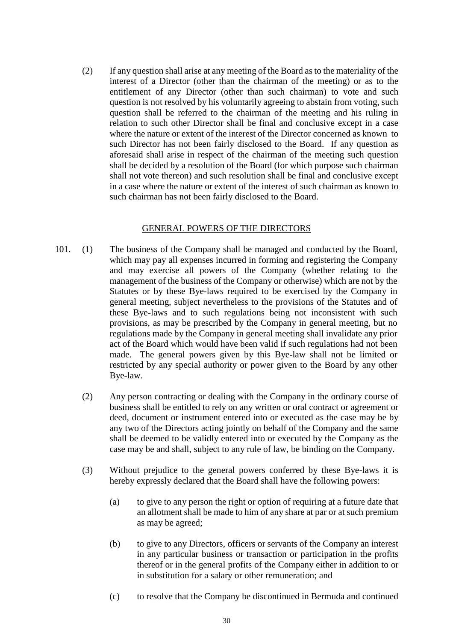(2) If any question shall arise at any meeting of the Board as to the materiality of the interest of a Director (other than the chairman of the meeting) or as to the entitlement of any Director (other than such chairman) to vote and such question is not resolved by his voluntarily agreeing to abstain from voting, such question shall be referred to the chairman of the meeting and his ruling in relation to such other Director shall be final and conclusive except in a case where the nature or extent of the interest of the Director concerned as known to such Director has not been fairly disclosed to the Board. If any question as aforesaid shall arise in respect of the chairman of the meeting such question shall be decided by a resolution of the Board (for which purpose such chairman shall not vote thereon) and such resolution shall be final and conclusive except in a case where the nature or extent of the interest of such chairman as known to such chairman has not been fairly disclosed to the Board.

#### GENERAL POWERS OF THE DIRECTORS

- 101. (1) The business of the Company shall be managed and conducted by the Board, which may pay all expenses incurred in forming and registering the Company and may exercise all powers of the Company (whether relating to the management of the business of the Company or otherwise) which are not by the Statutes or by these Bye-laws required to be exercised by the Company in general meeting, subject nevertheless to the provisions of the Statutes and of these Bye-laws and to such regulations being not inconsistent with such provisions, as may be prescribed by the Company in general meeting, but no regulations made by the Company in general meeting shall invalidate any prior act of the Board which would have been valid if such regulations had not been made. The general powers given by this Bye-law shall not be limited or restricted by any special authority or power given to the Board by any other Bye-law.
	- (2) Any person contracting or dealing with the Company in the ordinary course of business shall be entitled to rely on any written or oral contract or agreement or deed, document or instrument entered into or executed as the case may be by any two of the Directors acting jointly on behalf of the Company and the same shall be deemed to be validly entered into or executed by the Company as the case may be and shall, subject to any rule of law, be binding on the Company.
	- (3) Without prejudice to the general powers conferred by these Bye-laws it is hereby expressly declared that the Board shall have the following powers:
		- (a) to give to any person the right or option of requiring at a future date that an allotment shall be made to him of any share at par or at such premium as may be agreed;
		- (b) to give to any Directors, officers or servants of the Company an interest in any particular business or transaction or participation in the profits thereof or in the general profits of the Company either in addition to or in substitution for a salary or other remuneration; and
		- (c) to resolve that the Company be discontinued in Bermuda and continued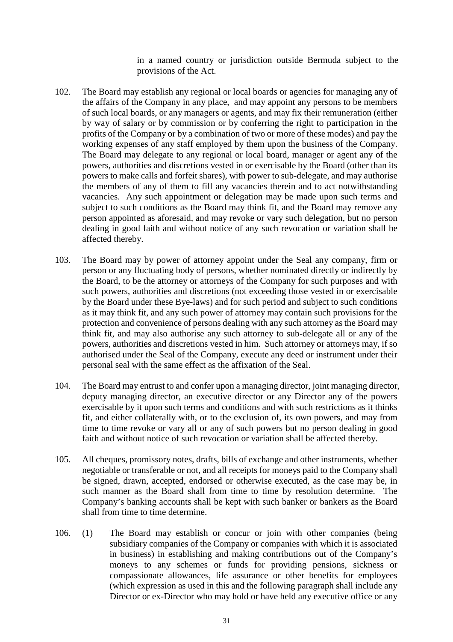in a named country or jurisdiction outside Bermuda subject to the provisions of the Act.

- 102. The Board may establish any regional or local boards or agencies for managing any of the affairs of the Company in any place, and may appoint any persons to be members of such local boards, or any managers or agents, and may fix their remuneration (either by way of salary or by commission or by conferring the right to participation in the profits of the Company or by a combination of two or more of these modes) and pay the working expenses of any staff employed by them upon the business of the Company. The Board may delegate to any regional or local board, manager or agent any of the powers, authorities and discretions vested in or exercisable by the Board (other than its powers to make calls and forfeit shares), with power to sub-delegate, and may authorise the members of any of them to fill any vacancies therein and to act notwithstanding vacancies. Any such appointment or delegation may be made upon such terms and subject to such conditions as the Board may think fit, and the Board may remove any person appointed as aforesaid, and may revoke or vary such delegation, but no person dealing in good faith and without notice of any such revocation or variation shall be affected thereby.
- 103. The Board may by power of attorney appoint under the Seal any company, firm or person or any fluctuating body of persons, whether nominated directly or indirectly by the Board, to be the attorney or attorneys of the Company for such purposes and with such powers, authorities and discretions (not exceeding those vested in or exercisable by the Board under these Bye-laws) and for such period and subject to such conditions as it may think fit, and any such power of attorney may contain such provisions for the protection and convenience of persons dealing with any such attorney as the Board may think fit, and may also authorise any such attorney to sub-delegate all or any of the powers, authorities and discretions vested in him. Such attorney or attorneys may, if so authorised under the Seal of the Company, execute any deed or instrument under their personal seal with the same effect as the affixation of the Seal.
- 104. The Board may entrust to and confer upon a managing director, joint managing director, deputy managing director, an executive director or any Director any of the powers exercisable by it upon such terms and conditions and with such restrictions as it thinks fit, and either collaterally with, or to the exclusion of, its own powers, and may from time to time revoke or vary all or any of such powers but no person dealing in good faith and without notice of such revocation or variation shall be affected thereby.
- 105. All cheques, promissory notes, drafts, bills of exchange and other instruments, whether negotiable or transferable or not, and all receipts for moneys paid to the Company shall be signed, drawn, accepted, endorsed or otherwise executed, as the case may be, in such manner as the Board shall from time to time by resolution determine. The Company's banking accounts shall be kept with such banker or bankers as the Board shall from time to time determine.
- 106. (1) The Board may establish or concur or join with other companies (being subsidiary companies of the Company or companies with which it is associated in business) in establishing and making contributions out of the Company's moneys to any schemes or funds for providing pensions, sickness or compassionate allowances, life assurance or other benefits for employees (which expression as used in this and the following paragraph shall include any Director or ex-Director who may hold or have held any executive office or any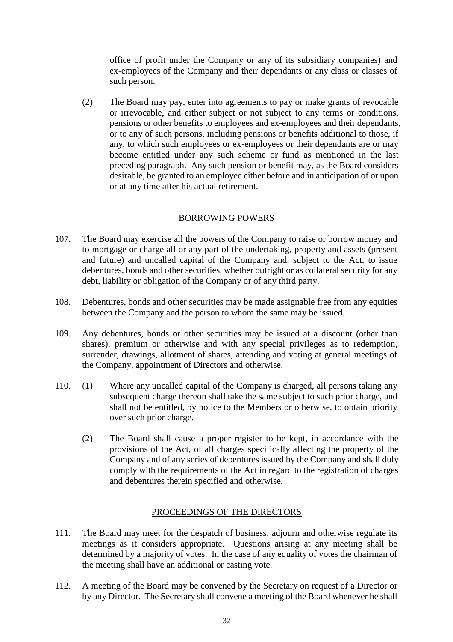office of profit under the Company or any of its subsidiary companies) and ex-employees of the Company and their dependants or any class or classes of such person.

(2) The Board may pay, enter into agreements to pay or make grants of revocable or irrevocable, and either subject or not subject to any terms or conditions, pensions or other benefits to employees and ex-employees and their dependants, or to any of such persons, including pensions or benefits additional to those, if any, to which such employees or ex-employees or their dependants are or may become entitled under any such scheme or fund as mentioned in the last preceding paragraph. Any such pension or benefit may, as the Board considers desirable, be granted to an employee either before and in anticipation of or upon or at any time after his actual retirement.

### BORROWING POWERS

- 107. The Board may exercise all the powers of the Company to raise or borrow money and to mortgage or charge all or any part of the undertaking, property and assets (present and future) and uncalled capital of the Company and, subject to the Act, to issue debentures, bonds and other securities, whether outright or as collateral security for any debt, liability or obligation of the Company or of any third party.
- 108. Debentures, bonds and other securities may be made assignable free from any equities between the Company and the person to whom the same may be issued.
- 109. Any debentures, bonds or other securities may be issued at a discount (other than shares), premium or otherwise and with any special privileges as to redemption, surrender, drawings, allotment of shares, attending and voting at general meetings of the Company, appointment of Directors and otherwise.
- 110. (1) Where any uncalled capital of the Company is charged, all persons taking any subsequent charge thereon shall take the same subject to such prior charge, and shall not be entitled, by notice to the Members or otherwise, to obtain priority over such prior charge.
	- (2) The Board shall cause a proper register to be kept, in accordance with the provisions of the Act, of all charges specifically affecting the property of the Company and of any series of debentures issued by the Company and shall duly comply with the requirements of the Act in regard to the registration of charges and debentures therein specified and otherwise.

### PROCEEDINGS OF THE DIRECTORS

- 111. The Board may meet for the despatch of business, adjourn and otherwise regulate its meetings as it considers appropriate. Questions arising at any meeting shall be determined by a majority of votes. In the case of any equality of votes the chairman of the meeting shall have an additional or casting vote.
- 112. A meeting of the Board may be convened by the Secretary on request of a Director or by any Director. The Secretary shall convene a meeting of the Board whenever he shall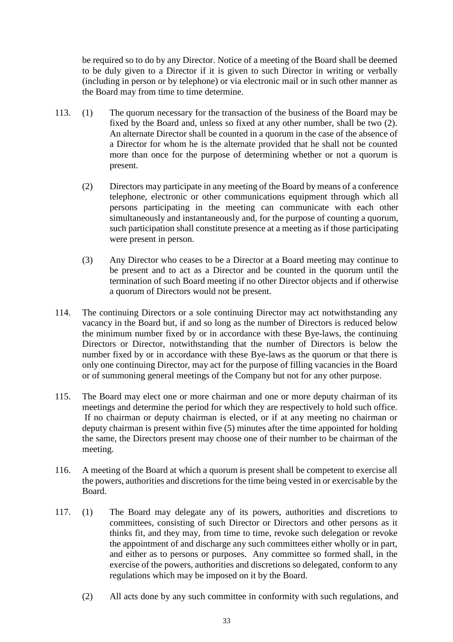be required so to do by any Director. Notice of a meeting of the Board shall be deemed to be duly given to a Director if it is given to such Director in writing or verbally (including in person or by telephone) or via electronic mail or in such other manner as the Board may from time to time determine.

- 113. (1) The quorum necessary for the transaction of the business of the Board may be fixed by the Board and, unless so fixed at any other number, shall be two (2). An alternate Director shall be counted in a quorum in the case of the absence of a Director for whom he is the alternate provided that he shall not be counted more than once for the purpose of determining whether or not a quorum is present.
	- (2) Directors may participate in any meeting of the Board by means of a conference telephone, electronic or other communications equipment through which all persons participating in the meeting can communicate with each other simultaneously and instantaneously and, for the purpose of counting a quorum, such participation shall constitute presence at a meeting as if those participating were present in person.
	- (3) Any Director who ceases to be a Director at a Board meeting may continue to be present and to act as a Director and be counted in the quorum until the termination of such Board meeting if no other Director objects and if otherwise a quorum of Directors would not be present.
- 114. The continuing Directors or a sole continuing Director may act notwithstanding any vacancy in the Board but, if and so long as the number of Directors is reduced below the minimum number fixed by or in accordance with these Bye-laws, the continuing Directors or Director, notwithstanding that the number of Directors is below the number fixed by or in accordance with these Bye-laws as the quorum or that there is only one continuing Director, may act for the purpose of filling vacancies in the Board or of summoning general meetings of the Company but not for any other purpose.
- 115. The Board may elect one or more chairman and one or more deputy chairman of its meetings and determine the period for which they are respectively to hold such office. If no chairman or deputy chairman is elected, or if at any meeting no chairman or deputy chairman is present within five (5) minutes after the time appointed for holding the same, the Directors present may choose one of their number to be chairman of the meeting.
- 116. A meeting of the Board at which a quorum is present shall be competent to exercise all the powers, authorities and discretions for the time being vested in or exercisable by the Board.
- 117. (1) The Board may delegate any of its powers, authorities and discretions to committees, consisting of such Director or Directors and other persons as it thinks fit, and they may, from time to time, revoke such delegation or revoke the appointment of and discharge any such committees either wholly or in part, and either as to persons or purposes. Any committee so formed shall, in the exercise of the powers, authorities and discretions so delegated, conform to any regulations which may be imposed on it by the Board.
	- (2) All acts done by any such committee in conformity with such regulations, and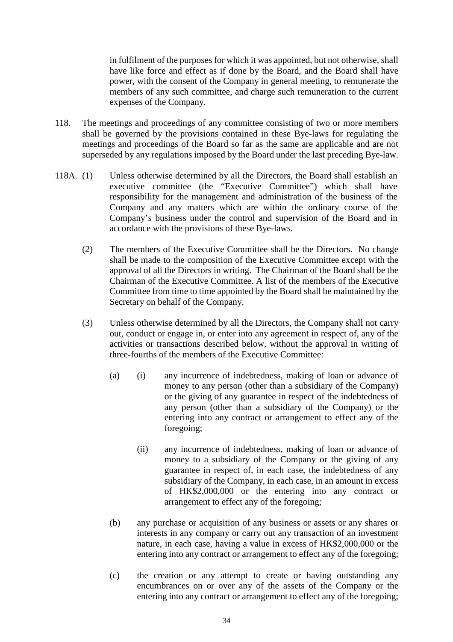in fulfilment of the purposes for which it was appointed, but not otherwise, shall have like force and effect as if done by the Board, and the Board shall have power, with the consent of the Company in general meeting, to remunerate the members of any such committee, and charge such remuneration to the current expenses of the Company.

- 118. The meetings and proceedings of any committee consisting of two or more members shall be governed by the provisions contained in these Bye-laws for regulating the meetings and proceedings of the Board so far as the same are applicable and are not superseded by any regulations imposed by the Board under the last preceding Bye-law.
- 118A. (1) Unless otherwise determined by all the Directors, the Board shall establish an executive committee (the "Executive Committee") which shall have responsibility for the management and administration of the business of the Company and any matters which are within the ordinary course of the Company's business under the control and supervision of the Board and in accordance with the provisions of these Bye-laws.
	- (2) The members of the Executive Committee shall be the Directors. No change shall be made to the composition of the Executive Committee except with the approval of all the Directors in writing. The Chairman of the Board shall be the Chairman of the Executive Committee. A list of the members of the Executive Committee from time to time appointed by the Board shall be maintained by the Secretary on behalf of the Company.
	- (3) Unless otherwise determined by all the Directors, the Company shall not carry out, conduct or engage in, or enter into any agreement in respect of, any of the activities or transactions described below, without the approval in writing of three-fourths of the members of the Executive Committee:
		- (a) (i) any incurrence of indebtedness, making of loan or advance of money to any person (other than a subsidiary of the Company) or the giving of any guarantee in respect of the indebtedness of any person (other than a subsidiary of the Company) or the entering into any contract or arrangement to effect any of the foregoing;
			- (ii) any incurrence of indebtedness, making of loan or advance of money to a subsidiary of the Company or the giving of any guarantee in respect of, in each case, the indebtedness of any subsidiary of the Company, in each case, in an amount in excess of HK\$2,000,000 or the entering into any contract or arrangement to effect any of the foregoing;
		- (b) any purchase or acquisition of any business or assets or any shares or interests in any company or carry out any transaction of an investment nature, in each case, having a value in excess of HK\$2,000,000 or the entering into any contract or arrangement to effect any of the foregoing;
		- (c) the creation or any attempt to create or having outstanding any encumbrances on or over any of the assets of the Company or the entering into any contract or arrangement to effect any of the foregoing;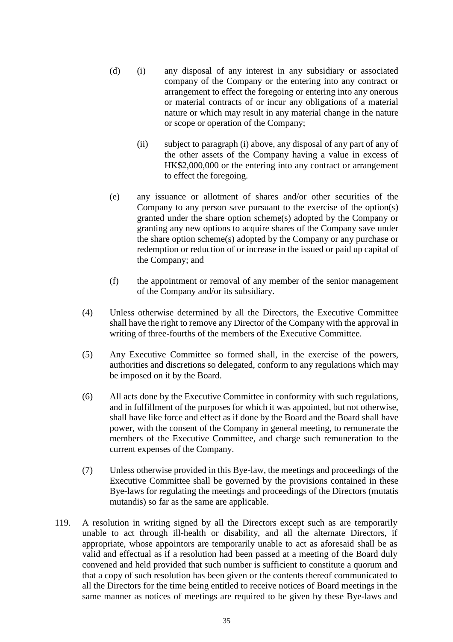- (d) (i) any disposal of any interest in any subsidiary or associated company of the Company or the entering into any contract or arrangement to effect the foregoing or entering into any onerous or material contracts of or incur any obligations of a material nature or which may result in any material change in the nature or scope or operation of the Company;
	- (ii) subject to paragraph (i) above, any disposal of any part of any of the other assets of the Company having a value in excess of HK\$2,000,000 or the entering into any contract or arrangement to effect the foregoing.
- (e) any issuance or allotment of shares and/or other securities of the Company to any person save pursuant to the exercise of the option(s) granted under the share option scheme(s) adopted by the Company or granting any new options to acquire shares of the Company save under the share option scheme(s) adopted by the Company or any purchase or redemption or reduction of or increase in the issued or paid up capital of the Company; and
- (f) the appointment or removal of any member of the senior management of the Company and/or its subsidiary.
- (4) Unless otherwise determined by all the Directors, the Executive Committee shall have the right to remove any Director of the Company with the approval in writing of three-fourths of the members of the Executive Committee.
- (5) Any Executive Committee so formed shall, in the exercise of the powers, authorities and discretions so delegated, conform to any regulations which may be imposed on it by the Board.
- (6) All acts done by the Executive Committee in conformity with such regulations, and in fulfillment of the purposes for which it was appointed, but not otherwise, shall have like force and effect as if done by the Board and the Board shall have power, with the consent of the Company in general meeting, to remunerate the members of the Executive Committee, and charge such remuneration to the current expenses of the Company.
- (7) Unless otherwise provided in this Bye-law, the meetings and proceedings of the Executive Committee shall be governed by the provisions contained in these Bye-laws for regulating the meetings and proceedings of the Directors (mutatis mutandis) so far as the same are applicable.
- 119. A resolution in writing signed by all the Directors except such as are temporarily unable to act through ill-health or disability, and all the alternate Directors, if appropriate, whose appointors are temporarily unable to act as aforesaid shall be as valid and effectual as if a resolution had been passed at a meeting of the Board duly convened and held provided that such number is sufficient to constitute a quorum and that a copy of such resolution has been given or the contents thereof communicated to all the Directors for the time being entitled to receive notices of Board meetings in the same manner as notices of meetings are required to be given by these Bye-laws and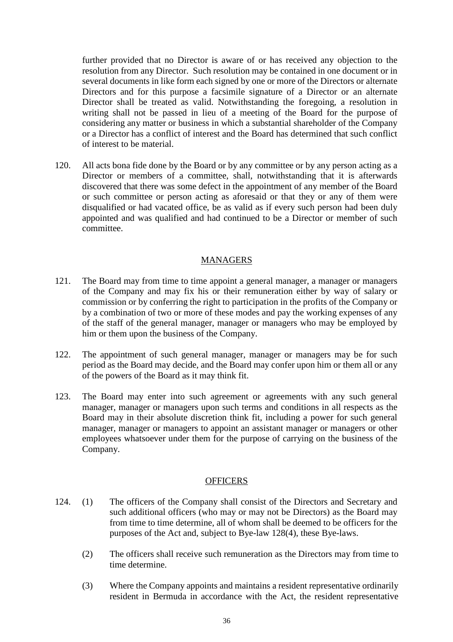further provided that no Director is aware of or has received any objection to the resolution from any Director. Such resolution may be contained in one document or in several documents in like form each signed by one or more of the Directors or alternate Directors and for this purpose a facsimile signature of a Director or an alternate Director shall be treated as valid. Notwithstanding the foregoing, a resolution in writing shall not be passed in lieu of a meeting of the Board for the purpose of considering any matter or business in which a substantial shareholder of the Company or a Director has a conflict of interest and the Board has determined that such conflict of interest to be material.

120. All acts bona fide done by the Board or by any committee or by any person acting as a Director or members of a committee, shall, notwithstanding that it is afterwards discovered that there was some defect in the appointment of any member of the Board or such committee or person acting as aforesaid or that they or any of them were disqualified or had vacated office, be as valid as if every such person had been duly appointed and was qualified and had continued to be a Director or member of such committee.

### MANAGERS

- 121. The Board may from time to time appoint a general manager, a manager or managers of the Company and may fix his or their remuneration either by way of salary or commission or by conferring the right to participation in the profits of the Company or by a combination of two or more of these modes and pay the working expenses of any of the staff of the general manager, manager or managers who may be employed by him or them upon the business of the Company.
- 122. The appointment of such general manager, manager or managers may be for such period as the Board may decide, and the Board may confer upon him or them all or any of the powers of the Board as it may think fit.
- 123. The Board may enter into such agreement or agreements with any such general manager, manager or managers upon such terms and conditions in all respects as the Board may in their absolute discretion think fit, including a power for such general manager, manager or managers to appoint an assistant manager or managers or other employees whatsoever under them for the purpose of carrying on the business of the Company.

#### **OFFICERS**

- 124. (1) The officers of the Company shall consist of the Directors and Secretary and such additional officers (who may or may not be Directors) as the Board may from time to time determine, all of whom shall be deemed to be officers for the purposes of the Act and, subject to Bye-law 128(4), these Bye-laws.
	- (2) The officers shall receive such remuneration as the Directors may from time to time determine.
	- (3) Where the Company appoints and maintains a resident representative ordinarily resident in Bermuda in accordance with the Act, the resident representative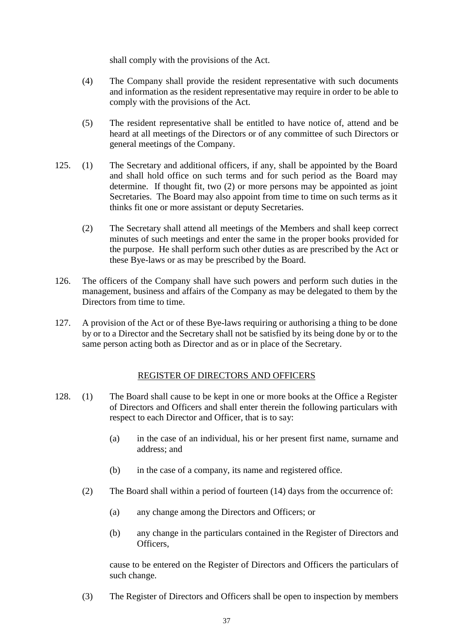shall comply with the provisions of the Act.

- (4) The Company shall provide the resident representative with such documents and information as the resident representative may require in order to be able to comply with the provisions of the Act.
- (5) The resident representative shall be entitled to have notice of, attend and be heard at all meetings of the Directors or of any committee of such Directors or general meetings of the Company.
- 125. (1) The Secretary and additional officers, if any, shall be appointed by the Board and shall hold office on such terms and for such period as the Board may determine. If thought fit, two (2) or more persons may be appointed as joint Secretaries. The Board may also appoint from time to time on such terms as it thinks fit one or more assistant or deputy Secretaries.
	- (2) The Secretary shall attend all meetings of the Members and shall keep correct minutes of such meetings and enter the same in the proper books provided for the purpose. He shall perform such other duties as are prescribed by the Act or these Bye-laws or as may be prescribed by the Board.
- 126. The officers of the Company shall have such powers and perform such duties in the management, business and affairs of the Company as may be delegated to them by the Directors from time to time.
- 127. A provision of the Act or of these Bye-laws requiring or authorising a thing to be done by or to a Director and the Secretary shall not be satisfied by its being done by or to the same person acting both as Director and as or in place of the Secretary.

# REGISTER OF DIRECTORS AND OFFICERS

- 128. (1) The Board shall cause to be kept in one or more books at the Office a Register of Directors and Officers and shall enter therein the following particulars with respect to each Director and Officer, that is to say:
	- (a) in the case of an individual, his or her present first name, surname and address; and
	- (b) in the case of a company, its name and registered office.
	- (2) The Board shall within a period of fourteen (14) days from the occurrence of:
		- (a) any change among the Directors and Officers; or
		- (b) any change in the particulars contained in the Register of Directors and Officers,

cause to be entered on the Register of Directors and Officers the particulars of such change.

(3) The Register of Directors and Officers shall be open to inspection by members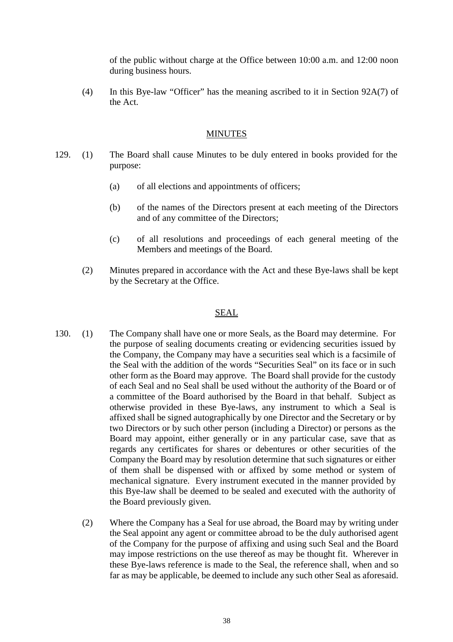of the public without charge at the Office between 10:00 a.m. and 12:00 noon during business hours.

(4) In this Bye-law "Officer" has the meaning ascribed to it in Section 92A(7) of the Act.

#### MINUTES

- 129. (1) The Board shall cause Minutes to be duly entered in books provided for the purpose:
	- (a) of all elections and appointments of officers;
	- (b) of the names of the Directors present at each meeting of the Directors and of any committee of the Directors;
	- (c) of all resolutions and proceedings of each general meeting of the Members and meetings of the Board.
	- (2) Minutes prepared in accordance with the Act and these Bye-laws shall be kept by the Secretary at the Office.

#### SEAL

- 130. (1) The Company shall have one or more Seals, as the Board may determine. For the purpose of sealing documents creating or evidencing securities issued by the Company, the Company may have a securities seal which is a facsimile of the Seal with the addition of the words "Securities Seal" on its face or in such other form as the Board may approve. The Board shall provide for the custody of each Seal and no Seal shall be used without the authority of the Board or of a committee of the Board authorised by the Board in that behalf. Subject as otherwise provided in these Bye-laws, any instrument to which a Seal is affixed shall be signed autographically by one Director and the Secretary or by two Directors or by such other person (including a Director) or persons as the Board may appoint, either generally or in any particular case, save that as regards any certificates for shares or debentures or other securities of the Company the Board may by resolution determine that such signatures or either of them shall be dispensed with or affixed by some method or system of mechanical signature. Every instrument executed in the manner provided by this Bye-law shall be deemed to be sealed and executed with the authority of the Board previously given.
	- (2) Where the Company has a Seal for use abroad, the Board may by writing under the Seal appoint any agent or committee abroad to be the duly authorised agent of the Company for the purpose of affixing and using such Seal and the Board may impose restrictions on the use thereof as may be thought fit. Wherever in these Bye-laws reference is made to the Seal, the reference shall, when and so far as may be applicable, be deemed to include any such other Seal as aforesaid.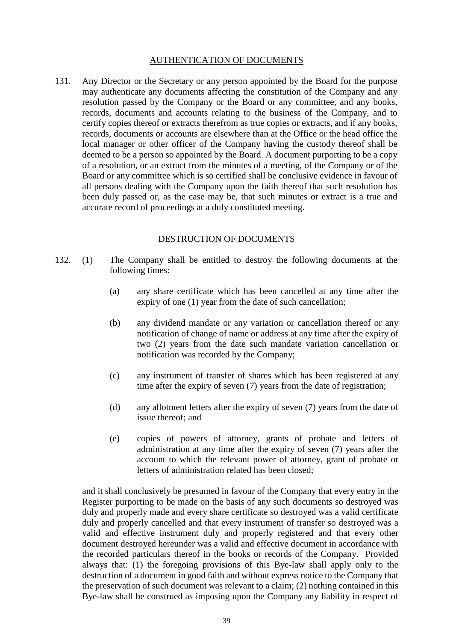#### AUTHENTICATION OF DOCUMENTS

131. Any Director or the Secretary or any person appointed by the Board for the purpose may authenticate any documents affecting the constitution of the Company and any resolution passed by the Company or the Board or any committee, and any books, records, documents and accounts relating to the business of the Company, and to certify copies thereof or extracts therefrom as true copies or extracts, and if any books, records, documents or accounts are elsewhere than at the Office or the head office the local manager or other officer of the Company having the custody thereof shall be deemed to be a person so appointed by the Board. A document purporting to be a copy of a resolution, or an extract from the minutes of a meeting, of the Company or of the Board or any committee which is so certified shall be conclusive evidence in favour of all persons dealing with the Company upon the faith thereof that such resolution has been duly passed or, as the case may be, that such minutes or extract is a true and accurate record of proceedings at a duly constituted meeting.

#### DESTRUCTION OF DOCUMENTS

- 132. (1) The Company shall be entitled to destroy the following documents at the following times:
	- (a) any share certificate which has been cancelled at any time after the expiry of one (1) year from the date of such cancellation;
	- (b) any dividend mandate or any variation or cancellation thereof or any notification of change of name or address at any time after the expiry of two (2) years from the date such mandate variation cancellation or notification was recorded by the Company;
	- (c) any instrument of transfer of shares which has been registered at any time after the expiry of seven (7) years from the date of registration;
	- (d) any allotment letters after the expiry of seven (7) years from the date of issue thereof; and
	- (e) copies of powers of attorney, grants of probate and letters of administration at any time after the expiry of seven (7) years after the account to which the relevant power of attorney, grant of probate or letters of administration related has been closed;

and it shall conclusively be presumed in favour of the Company that every entry in the Register purporting to be made on the basis of any such documents so destroyed was duly and properly made and every share certificate so destroyed was a valid certificate duly and properly cancelled and that every instrument of transfer so destroyed was a valid and effective instrument duly and properly registered and that every other document destroyed hereunder was a valid and effective document in accordance with the recorded particulars thereof in the books or records of the Company. Provided always that: (1) the foregoing provisions of this Bye-law shall apply only to the destruction of a document in good faith and without express notice to the Company that the preservation of such document was relevant to a claim; (2) nothing contained in this Bye-law shall be construed as imposing upon the Company any liability in respect of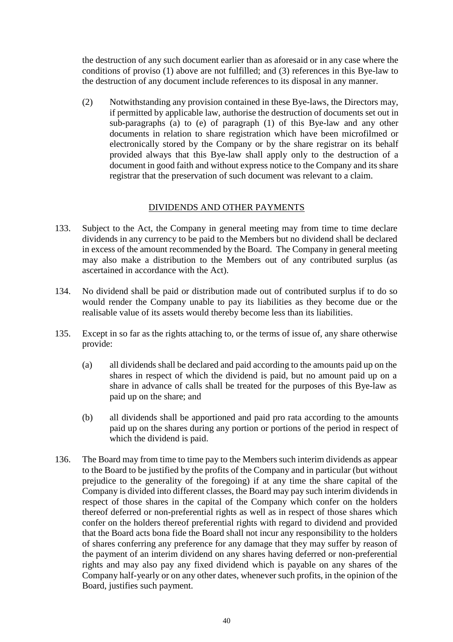the destruction of any such document earlier than as aforesaid or in any case where the conditions of proviso (1) above are not fulfilled; and (3) references in this Bye-law to the destruction of any document include references to its disposal in any manner.

(2) Notwithstanding any provision contained in these Bye-laws, the Directors may, if permitted by applicable law, authorise the destruction of documents set out in sub-paragraphs (a) to (e) of paragraph (1) of this Bye-law and any other documents in relation to share registration which have been microfilmed or electronically stored by the Company or by the share registrar on its behalf provided always that this Bye-law shall apply only to the destruction of a document in good faith and without express notice to the Company and its share registrar that the preservation of such document was relevant to a claim.

# DIVIDENDS AND OTHER PAYMENTS

- 133. Subject to the Act, the Company in general meeting may from time to time declare dividends in any currency to be paid to the Members but no dividend shall be declared in excess of the amount recommended by the Board. The Company in general meeting may also make a distribution to the Members out of any contributed surplus (as ascertained in accordance with the Act).
- 134. No dividend shall be paid or distribution made out of contributed surplus if to do so would render the Company unable to pay its liabilities as they become due or the realisable value of its assets would thereby become less than its liabilities.
- 135. Except in so far as the rights attaching to, or the terms of issue of, any share otherwise provide:
	- (a) all dividends shall be declared and paid according to the amounts paid up on the shares in respect of which the dividend is paid, but no amount paid up on a share in advance of calls shall be treated for the purposes of this Bye-law as paid up on the share; and
	- (b) all dividends shall be apportioned and paid pro rata according to the amounts paid up on the shares during any portion or portions of the period in respect of which the dividend is paid.
- 136. The Board may from time to time pay to the Members such interim dividends as appear to the Board to be justified by the profits of the Company and in particular (but without prejudice to the generality of the foregoing) if at any time the share capital of the Company is divided into different classes, the Board may pay such interim dividends in respect of those shares in the capital of the Company which confer on the holders thereof deferred or non-preferential rights as well as in respect of those shares which confer on the holders thereof preferential rights with regard to dividend and provided that the Board acts bona fide the Board shall not incur any responsibility to the holders of shares conferring any preference for any damage that they may suffer by reason of the payment of an interim dividend on any shares having deferred or non-preferential rights and may also pay any fixed dividend which is payable on any shares of the Company half-yearly or on any other dates, whenever such profits, in the opinion of the Board, justifies such payment.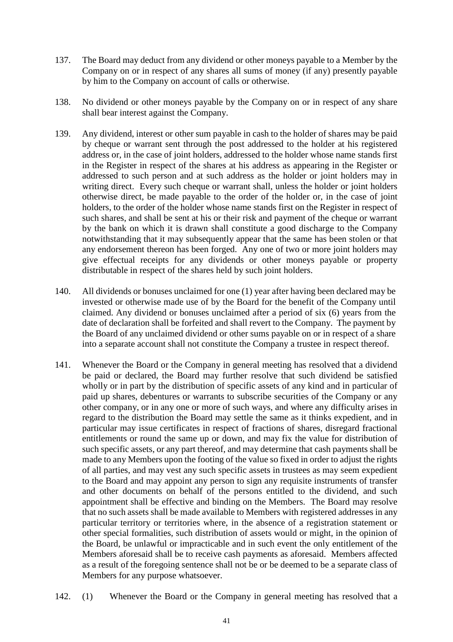- 137. The Board may deduct from any dividend or other moneys payable to a Member by the Company on or in respect of any shares all sums of money (if any) presently payable by him to the Company on account of calls or otherwise.
- 138. No dividend or other moneys payable by the Company on or in respect of any share shall bear interest against the Company.
- 139. Any dividend, interest or other sum payable in cash to the holder of shares may be paid by cheque or warrant sent through the post addressed to the holder at his registered address or, in the case of joint holders, addressed to the holder whose name stands first in the Register in respect of the shares at his address as appearing in the Register or addressed to such person and at such address as the holder or joint holders may in writing direct. Every such cheque or warrant shall, unless the holder or joint holders otherwise direct, be made payable to the order of the holder or, in the case of joint holders, to the order of the holder whose name stands first on the Register in respect of such shares, and shall be sent at his or their risk and payment of the cheque or warrant by the bank on which it is drawn shall constitute a good discharge to the Company notwithstanding that it may subsequently appear that the same has been stolen or that any endorsement thereon has been forged. Any one of two or more joint holders may give effectual receipts for any dividends or other moneys payable or property distributable in respect of the shares held by such joint holders.
- 140. All dividends or bonuses unclaimed for one (1) year after having been declared may be invested or otherwise made use of by the Board for the benefit of the Company until claimed. Any dividend or bonuses unclaimed after a period of six (6) years from the date of declaration shall be forfeited and shall revert to the Company. The payment by the Board of any unclaimed dividend or other sums payable on or in respect of a share into a separate account shall not constitute the Company a trustee in respect thereof.
- 141. Whenever the Board or the Company in general meeting has resolved that a dividend be paid or declared, the Board may further resolve that such dividend be satisfied wholly or in part by the distribution of specific assets of any kind and in particular of paid up shares, debentures or warrants to subscribe securities of the Company or any other company, or in any one or more of such ways, and where any difficulty arises in regard to the distribution the Board may settle the same as it thinks expedient, and in particular may issue certificates in respect of fractions of shares, disregard fractional entitlements or round the same up or down, and may fix the value for distribution of such specific assets, or any part thereof, and may determine that cash payments shall be made to any Members upon the footing of the value so fixed in order to adjust the rights of all parties, and may vest any such specific assets in trustees as may seem expedient to the Board and may appoint any person to sign any requisite instruments of transfer and other documents on behalf of the persons entitled to the dividend, and such appointment shall be effective and binding on the Members. The Board may resolve that no such assets shall be made available to Members with registered addresses in any particular territory or territories where, in the absence of a registration statement or other special formalities, such distribution of assets would or might, in the opinion of the Board, be unlawful or impracticable and in such event the only entitlement of the Members aforesaid shall be to receive cash payments as aforesaid. Members affected as a result of the foregoing sentence shall not be or be deemed to be a separate class of Members for any purpose whatsoever.
- 142. (1) Whenever the Board or the Company in general meeting has resolved that a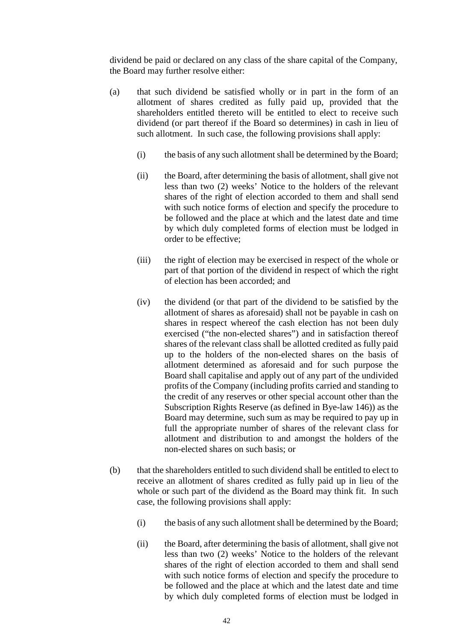dividend be paid or declared on any class of the share capital of the Company, the Board may further resolve either:

- (a) that such dividend be satisfied wholly or in part in the form of an allotment of shares credited as fully paid up, provided that the shareholders entitled thereto will be entitled to elect to receive such dividend (or part thereof if the Board so determines) in cash in lieu of such allotment. In such case, the following provisions shall apply:
	- (i) the basis of any such allotment shall be determined by the Board;
	- (ii) the Board, after determining the basis of allotment, shall give not less than two (2) weeks' Notice to the holders of the relevant shares of the right of election accorded to them and shall send with such notice forms of election and specify the procedure to be followed and the place at which and the latest date and time by which duly completed forms of election must be lodged in order to be effective;
	- (iii) the right of election may be exercised in respect of the whole or part of that portion of the dividend in respect of which the right of election has been accorded; and
	- (iv) the dividend (or that part of the dividend to be satisfied by the allotment of shares as aforesaid) shall not be payable in cash on shares in respect whereof the cash election has not been duly exercised ("the non-elected shares") and in satisfaction thereof shares of the relevant class shall be allotted credited as fully paid up to the holders of the non-elected shares on the basis of allotment determined as aforesaid and for such purpose the Board shall capitalise and apply out of any part of the undivided profits of the Company (including profits carried and standing to the credit of any reserves or other special account other than the Subscription Rights Reserve (as defined in Bye-law 146)) as the Board may determine, such sum as may be required to pay up in full the appropriate number of shares of the relevant class for allotment and distribution to and amongst the holders of the non-elected shares on such basis; or
- (b) that the shareholders entitled to such dividend shall be entitled to elect to receive an allotment of shares credited as fully paid up in lieu of the whole or such part of the dividend as the Board may think fit. In such case, the following provisions shall apply:
	- (i) the basis of any such allotment shall be determined by the Board;
	- (ii) the Board, after determining the basis of allotment, shall give not less than two (2) weeks' Notice to the holders of the relevant shares of the right of election accorded to them and shall send with such notice forms of election and specify the procedure to be followed and the place at which and the latest date and time by which duly completed forms of election must be lodged in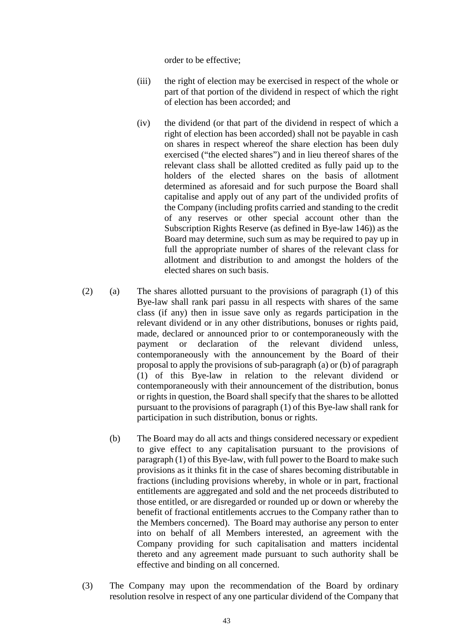order to be effective;

- (iii) the right of election may be exercised in respect of the whole or part of that portion of the dividend in respect of which the right of election has been accorded; and
- (iv) the dividend (or that part of the dividend in respect of which a right of election has been accorded) shall not be payable in cash on shares in respect whereof the share election has been duly exercised ("the elected shares") and in lieu thereof shares of the relevant class shall be allotted credited as fully paid up to the holders of the elected shares on the basis of allotment determined as aforesaid and for such purpose the Board shall capitalise and apply out of any part of the undivided profits of the Company (including profits carried and standing to the credit of any reserves or other special account other than the Subscription Rights Reserve (as defined in Bye-law 146)) as the Board may determine, such sum as may be required to pay up in full the appropriate number of shares of the relevant class for allotment and distribution to and amongst the holders of the elected shares on such basis.
- (2) (a) The shares allotted pursuant to the provisions of paragraph (1) of this Bye-law shall rank pari passu in all respects with shares of the same class (if any) then in issue save only as regards participation in the relevant dividend or in any other distributions, bonuses or rights paid, made, declared or announced prior to or contemporaneously with the payment or declaration of the relevant dividend unless, contemporaneously with the announcement by the Board of their proposal to apply the provisions of sub-paragraph (a) or (b) of paragraph (1) of this Bye-law in relation to the relevant dividend or contemporaneously with their announcement of the distribution, bonus or rights in question, the Board shall specify that the shares to be allotted pursuant to the provisions of paragraph (1) of this Bye-law shall rank for participation in such distribution, bonus or rights.
	- (b) The Board may do all acts and things considered necessary or expedient to give effect to any capitalisation pursuant to the provisions of paragraph (1) of this Bye-law, with full power to the Board to make such provisions as it thinks fit in the case of shares becoming distributable in fractions (including provisions whereby, in whole or in part, fractional entitlements are aggregated and sold and the net proceeds distributed to those entitled, or are disregarded or rounded up or down or whereby the benefit of fractional entitlements accrues to the Company rather than to the Members concerned). The Board may authorise any person to enter into on behalf of all Members interested, an agreement with the Company providing for such capitalisation and matters incidental thereto and any agreement made pursuant to such authority shall be effective and binding on all concerned.
- (3) The Company may upon the recommendation of the Board by ordinary resolution resolve in respect of any one particular dividend of the Company that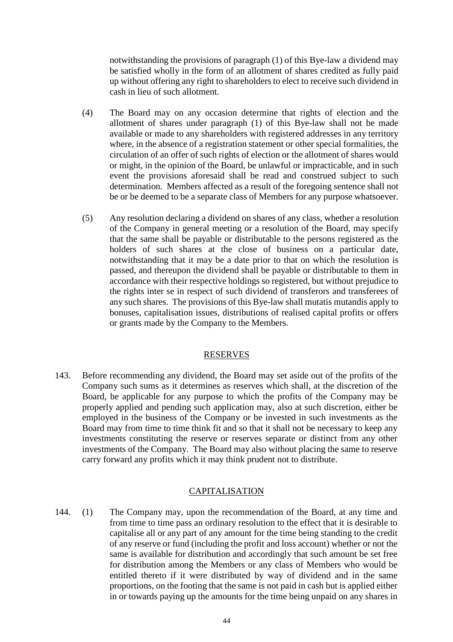notwithstanding the provisions of paragraph (1) of this Bye-law a dividend may be satisfied wholly in the form of an allotment of shares credited as fully paid up without offering any right to shareholders to elect to receive such dividend in cash in lieu of such allotment.

- (4) The Board may on any occasion determine that rights of election and the allotment of shares under paragraph (1) of this Bye-law shall not be made available or made to any shareholders with registered addresses in any territory where, in the absence of a registration statement or other special formalities, the circulation of an offer of such rights of election or the allotment of shares would or might, in the opinion of the Board, be unlawful or impracticable, and in such event the provisions aforesaid shall be read and construed subject to such determination. Members affected as a result of the foregoing sentence shall not be or be deemed to be a separate class of Members for any purpose whatsoever.
- (5) Any resolution declaring a dividend on shares of any class, whether a resolution of the Company in general meeting or a resolution of the Board, may specify that the same shall be payable or distributable to the persons registered as the holders of such shares at the close of business on a particular date, notwithstanding that it may be a date prior to that on which the resolution is passed, and thereupon the dividend shall be payable or distributable to them in accordance with their respective holdings so registered, but without prejudice to the rights inter se in respect of such dividend of transferors and transferees of any such shares. The provisions of this Bye-law shall mutatis mutandis apply to bonuses, capitalisation issues, distributions of realised capital profits or offers or grants made by the Company to the Members.

### RESERVES

143. Before recommending any dividend, the Board may set aside out of the profits of the Company such sums as it determines as reserves which shall, at the discretion of the Board, be applicable for any purpose to which the profits of the Company may be properly applied and pending such application may, also at such discretion, either be employed in the business of the Company or be invested in such investments as the Board may from time to time think fit and so that it shall not be necessary to keep any investments constituting the reserve or reserves separate or distinct from any other investments of the Company. The Board may also without placing the same to reserve carry forward any profits which it may think prudent not to distribute.

### CAPITALISATION

144. (1) The Company may, upon the recommendation of the Board, at any time and from time to time pass an ordinary resolution to the effect that it is desirable to capitalise all or any part of any amount for the time being standing to the credit of any reserve or fund (including the profit and loss account) whether or not the same is available for distribution and accordingly that such amount be set free for distribution among the Members or any class of Members who would be entitled thereto if it were distributed by way of dividend and in the same proportions, on the footing that the same is not paid in cash but is applied either in or towards paying up the amounts for the time being unpaid on any shares in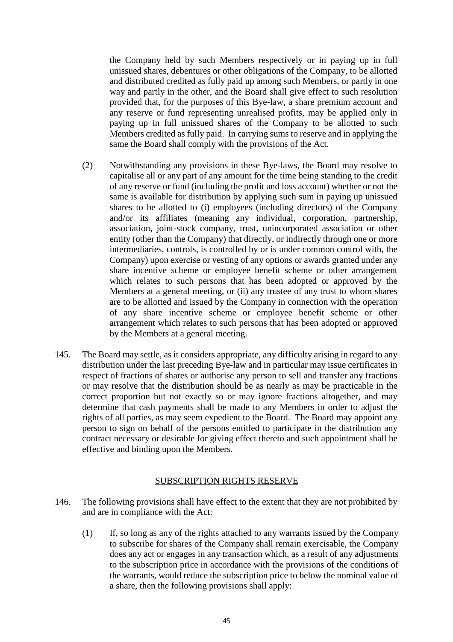the Company held by such Members respectively or in paying up in full unissued shares, debentures or other obligations of the Company, to be allotted and distributed credited as fully paid up among such Members, or partly in one way and partly in the other, and the Board shall give effect to such resolution provided that, for the purposes of this Bye-law, a share premium account and any reserve or fund representing unrealised profits, may be applied only in paying up in full unissued shares of the Company to be allotted to such Members credited as fully paid. In carrying sums to reserve and in applying the same the Board shall comply with the provisions of the Act.

- (2) Notwithstanding any provisions in these Bye-laws, the Board may resolve to capitalise all or any part of any amount for the time being standing to the credit of any reserve or fund (including the profit and loss account) whether or not the same is available for distribution by applying such sum in paying up unissued shares to be allotted to (i) employees (including directors) of the Company and/or its affiliates (meaning any individual, corporation, partnership, association, joint-stock company, trust, unincorporated association or other entity (other than the Company) that directly, or indirectly through one or more intermediaries, controls, is controlled by or is under common control with, the Company) upon exercise or vesting of any options or awards granted under any share incentive scheme or employee benefit scheme or other arrangement which relates to such persons that has been adopted or approved by the Members at a general meeting, or (ii) any trustee of any trust to whom shares are to be allotted and issued by the Company in connection with the operation of any share incentive scheme or employee benefit scheme or other arrangement which relates to such persons that has been adopted or approved by the Members at a general meeting.
- 145. The Board may settle, as it considers appropriate, any difficulty arising in regard to any distribution under the last preceding Bye-law and in particular may issue certificates in respect of fractions of shares or authorise any person to sell and transfer any fractions or may resolve that the distribution should be as nearly as may be practicable in the correct proportion but not exactly so or may ignore fractions altogether, and may determine that cash payments shall be made to any Members in order to adjust the rights of all parties, as may seem expedient to the Board. The Board may appoint any person to sign on behalf of the persons entitled to participate in the distribution any contract necessary or desirable for giving effect thereto and such appointment shall be effective and binding upon the Members.

# SUBSCRIPTION RIGHTS RESERVE

- 146. The following provisions shall have effect to the extent that they are not prohibited by and are in compliance with the Act:
	- (1) If, so long as any of the rights attached to any warrants issued by the Company to subscribe for shares of the Company shall remain exercisable, the Company does any act or engages in any transaction which, as a result of any adjustments to the subscription price in accordance with the provisions of the conditions of the warrants, would reduce the subscription price to below the nominal value of a share, then the following provisions shall apply: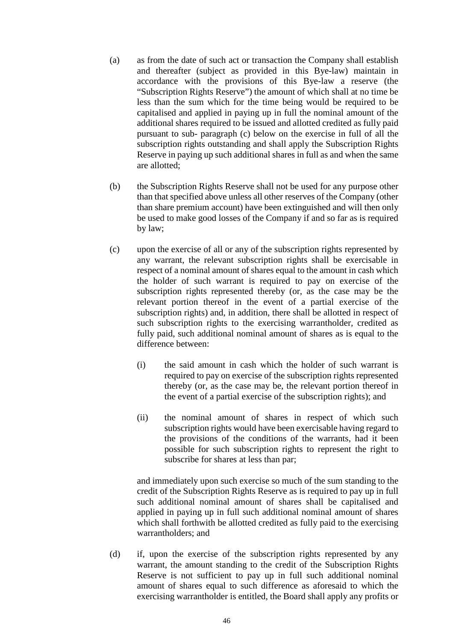- (a) as from the date of such act or transaction the Company shall establish and thereafter (subject as provided in this Bye-law) maintain in accordance with the provisions of this Bye-law a reserve (the "Subscription Rights Reserve") the amount of which shall at no time be less than the sum which for the time being would be required to be capitalised and applied in paying up in full the nominal amount of the additional shares required to be issued and allotted credited as fully paid pursuant to sub- paragraph (c) below on the exercise in full of all the subscription rights outstanding and shall apply the Subscription Rights Reserve in paying up such additional shares in full as and when the same are allotted;
- (b) the Subscription Rights Reserve shall not be used for any purpose other than that specified above unless all other reserves of the Company (other than share premium account) have been extinguished and will then only be used to make good losses of the Company if and so far as is required by law;
- (c) upon the exercise of all or any of the subscription rights represented by any warrant, the relevant subscription rights shall be exercisable in respect of a nominal amount of shares equal to the amount in cash which the holder of such warrant is required to pay on exercise of the subscription rights represented thereby (or, as the case may be the relevant portion thereof in the event of a partial exercise of the subscription rights) and, in addition, there shall be allotted in respect of such subscription rights to the exercising warrantholder, credited as fully paid, such additional nominal amount of shares as is equal to the difference between:
	- (i) the said amount in cash which the holder of such warrant is required to pay on exercise of the subscription rights represented thereby (or, as the case may be, the relevant portion thereof in the event of a partial exercise of the subscription rights); and
	- (ii) the nominal amount of shares in respect of which such subscription rights would have been exercisable having regard to the provisions of the conditions of the warrants, had it been possible for such subscription rights to represent the right to subscribe for shares at less than par;

and immediately upon such exercise so much of the sum standing to the credit of the Subscription Rights Reserve as is required to pay up in full such additional nominal amount of shares shall be capitalised and applied in paying up in full such additional nominal amount of shares which shall forthwith be allotted credited as fully paid to the exercising warrantholders; and

(d) if, upon the exercise of the subscription rights represented by any warrant, the amount standing to the credit of the Subscription Rights Reserve is not sufficient to pay up in full such additional nominal amount of shares equal to such difference as aforesaid to which the exercising warrantholder is entitled, the Board shall apply any profits or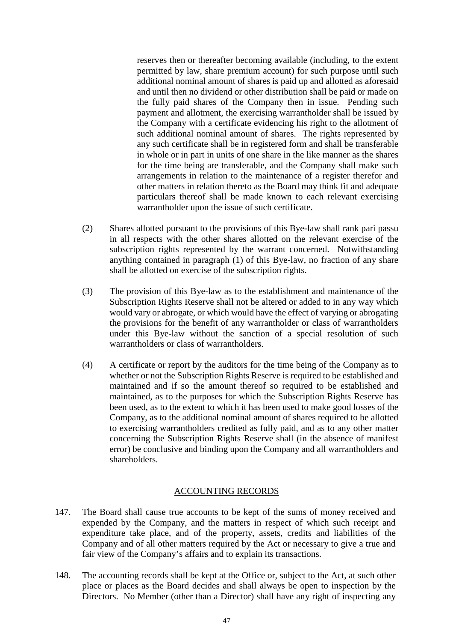reserves then or thereafter becoming available (including, to the extent permitted by law, share premium account) for such purpose until such additional nominal amount of shares is paid up and allotted as aforesaid and until then no dividend or other distribution shall be paid or made on the fully paid shares of the Company then in issue. Pending such payment and allotment, the exercising warrantholder shall be issued by the Company with a certificate evidencing his right to the allotment of such additional nominal amount of shares. The rights represented by any such certificate shall be in registered form and shall be transferable in whole or in part in units of one share in the like manner as the shares for the time being are transferable, and the Company shall make such arrangements in relation to the maintenance of a register therefor and other matters in relation thereto as the Board may think fit and adequate particulars thereof shall be made known to each relevant exercising warrantholder upon the issue of such certificate.

- (2) Shares allotted pursuant to the provisions of this Bye-law shall rank pari passu in all respects with the other shares allotted on the relevant exercise of the subscription rights represented by the warrant concerned. Notwithstanding anything contained in paragraph (1) of this Bye-law, no fraction of any share shall be allotted on exercise of the subscription rights.
- (3) The provision of this Bye-law as to the establishment and maintenance of the Subscription Rights Reserve shall not be altered or added to in any way which would vary or abrogate, or which would have the effect of varying or abrogating the provisions for the benefit of any warrantholder or class of warrantholders under this Bye-law without the sanction of a special resolution of such warrantholders or class of warrantholders.
- (4) A certificate or report by the auditors for the time being of the Company as to whether or not the Subscription Rights Reserve is required to be established and maintained and if so the amount thereof so required to be established and maintained, as to the purposes for which the Subscription Rights Reserve has been used, as to the extent to which it has been used to make good losses of the Company, as to the additional nominal amount of shares required to be allotted to exercising warrantholders credited as fully paid, and as to any other matter concerning the Subscription Rights Reserve shall (in the absence of manifest error) be conclusive and binding upon the Company and all warrantholders and shareholders.

### ACCOUNTING RECORDS

- 147. The Board shall cause true accounts to be kept of the sums of money received and expended by the Company, and the matters in respect of which such receipt and expenditure take place, and of the property, assets, credits and liabilities of the Company and of all other matters required by the Act or necessary to give a true and fair view of the Company's affairs and to explain its transactions.
- 148. The accounting records shall be kept at the Office or, subject to the Act, at such other place or places as the Board decides and shall always be open to inspection by the Directors. No Member (other than a Director) shall have any right of inspecting any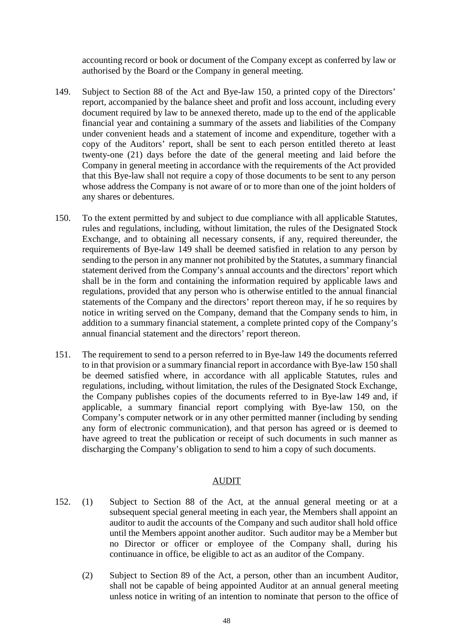accounting record or book or document of the Company except as conferred by law or authorised by the Board or the Company in general meeting.

- 149. Subject to Section 88 of the Act and Bye-law 150, a printed copy of the Directors' report, accompanied by the balance sheet and profit and loss account, including every document required by law to be annexed thereto, made up to the end of the applicable financial year and containing a summary of the assets and liabilities of the Company under convenient heads and a statement of income and expenditure, together with a copy of the Auditors' report, shall be sent to each person entitled thereto at least twenty-one (21) days before the date of the general meeting and laid before the Company in general meeting in accordance with the requirements of the Act provided that this Bye-law shall not require a copy of those documents to be sent to any person whose address the Company is not aware of or to more than one of the joint holders of any shares or debentures.
- 150. To the extent permitted by and subject to due compliance with all applicable Statutes, rules and regulations, including, without limitation, the rules of the Designated Stock Exchange, and to obtaining all necessary consents, if any, required thereunder, the requirements of Bye-law 149 shall be deemed satisfied in relation to any person by sending to the person in any manner not prohibited by the Statutes, a summary financial statement derived from the Company's annual accounts and the directors' report which shall be in the form and containing the information required by applicable laws and regulations, provided that any person who is otherwise entitled to the annual financial statements of the Company and the directors' report thereon may, if he so requires by notice in writing served on the Company, demand that the Company sends to him, in addition to a summary financial statement, a complete printed copy of the Company's annual financial statement and the directors' report thereon.
- 151. The requirement to send to a person referred to in Bye-law 149 the documents referred to in that provision or a summary financial report in accordance with Bye-law 150 shall be deemed satisfied where, in accordance with all applicable Statutes, rules and regulations, including, without limitation, the rules of the Designated Stock Exchange, the Company publishes copies of the documents referred to in Bye-law 149 and, if applicable, a summary financial report complying with Bye-law 150, on the Company's computer network or in any other permitted manner (including by sending any form of electronic communication), and that person has agreed or is deemed to have agreed to treat the publication or receipt of such documents in such manner as discharging the Company's obligation to send to him a copy of such documents.

#### AUDIT

- 152. (1) Subject to Section 88 of the Act, at the annual general meeting or at a subsequent special general meeting in each year, the Members shall appoint an auditor to audit the accounts of the Company and such auditor shall hold office until the Members appoint another auditor. Such auditor may be a Member but no Director or officer or employee of the Company shall, during his continuance in office, be eligible to act as an auditor of the Company.
	- (2) Subject to Section 89 of the Act, a person, other than an incumbent Auditor, shall not be capable of being appointed Auditor at an annual general meeting unless notice in writing of an intention to nominate that person to the office of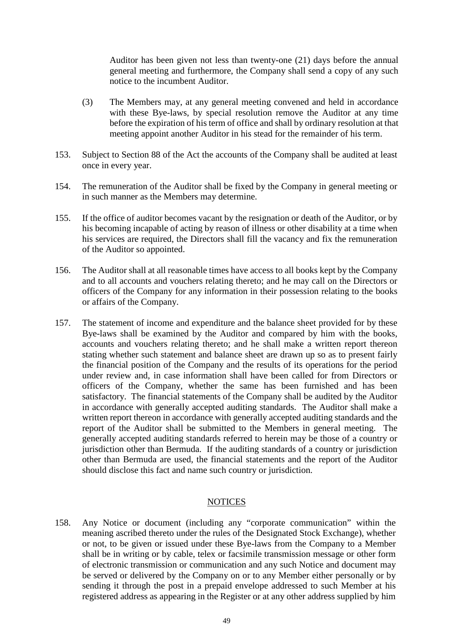Auditor has been given not less than twenty-one (21) days before the annual general meeting and furthermore, the Company shall send a copy of any such notice to the incumbent Auditor.

- (3) The Members may, at any general meeting convened and held in accordance with these Bye-laws, by special resolution remove the Auditor at any time before the expiration of his term of office and shall by ordinary resolution at that meeting appoint another Auditor in his stead for the remainder of his term.
- 153. Subject to Section 88 of the Act the accounts of the Company shall be audited at least once in every year.
- 154. The remuneration of the Auditor shall be fixed by the Company in general meeting or in such manner as the Members may determine.
- 155. If the office of auditor becomes vacant by the resignation or death of the Auditor, or by his becoming incapable of acting by reason of illness or other disability at a time when his services are required, the Directors shall fill the vacancy and fix the remuneration of the Auditor so appointed.
- 156. The Auditor shall at all reasonable times have access to all books kept by the Company and to all accounts and vouchers relating thereto; and he may call on the Directors or officers of the Company for any information in their possession relating to the books or affairs of the Company.
- 157. The statement of income and expenditure and the balance sheet provided for by these Bye-laws shall be examined by the Auditor and compared by him with the books, accounts and vouchers relating thereto; and he shall make a written report thereon stating whether such statement and balance sheet are drawn up so as to present fairly the financial position of the Company and the results of its operations for the period under review and, in case information shall have been called for from Directors or officers of the Company, whether the same has been furnished and has been satisfactory. The financial statements of the Company shall be audited by the Auditor in accordance with generally accepted auditing standards. The Auditor shall make a written report thereon in accordance with generally accepted auditing standards and the report of the Auditor shall be submitted to the Members in general meeting. The generally accepted auditing standards referred to herein may be those of a country or jurisdiction other than Bermuda. If the auditing standards of a country or jurisdiction other than Bermuda are used, the financial statements and the report of the Auditor should disclose this fact and name such country or jurisdiction.

### **NOTICES**

158. Any Notice or document (including any "corporate communication" within the meaning ascribed thereto under the rules of the Designated Stock Exchange), whether or not, to be given or issued under these Bye-laws from the Company to a Member shall be in writing or by cable, telex or facsimile transmission message or other form of electronic transmission or communication and any such Notice and document may be served or delivered by the Company on or to any Member either personally or by sending it through the post in a prepaid envelope addressed to such Member at his registered address as appearing in the Register or at any other address supplied by him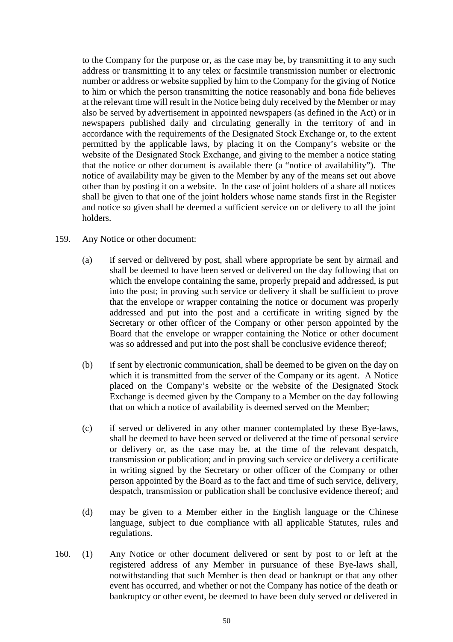to the Company for the purpose or, as the case may be, by transmitting it to any such address or transmitting it to any telex or facsimile transmission number or electronic number or address or website supplied by him to the Company for the giving of Notice to him or which the person transmitting the notice reasonably and bona fide believes at the relevant time will result in the Notice being duly received by the Member or may also be served by advertisement in appointed newspapers (as defined in the Act) or in newspapers published daily and circulating generally in the territory of and in accordance with the requirements of the Designated Stock Exchange or, to the extent permitted by the applicable laws, by placing it on the Company's website or the website of the Designated Stock Exchange, and giving to the member a notice stating that the notice or other document is available there (a "notice of availability"). The notice of availability may be given to the Member by any of the means set out above other than by posting it on a website. In the case of joint holders of a share all notices shall be given to that one of the joint holders whose name stands first in the Register and notice so given shall be deemed a sufficient service on or delivery to all the joint holders.

- 159. Any Notice or other document:
	- (a) if served or delivered by post, shall where appropriate be sent by airmail and shall be deemed to have been served or delivered on the day following that on which the envelope containing the same, properly prepaid and addressed, is put into the post; in proving such service or delivery it shall be sufficient to prove that the envelope or wrapper containing the notice or document was properly addressed and put into the post and a certificate in writing signed by the Secretary or other officer of the Company or other person appointed by the Board that the envelope or wrapper containing the Notice or other document was so addressed and put into the post shall be conclusive evidence thereof;
	- (b) if sent by electronic communication, shall be deemed to be given on the day on which it is transmitted from the server of the Company or its agent. A Notice placed on the Company's website or the website of the Designated Stock Exchange is deemed given by the Company to a Member on the day following that on which a notice of availability is deemed served on the Member;
	- (c) if served or delivered in any other manner contemplated by these Bye-laws, shall be deemed to have been served or delivered at the time of personal service or delivery or, as the case may be, at the time of the relevant despatch, transmission or publication; and in proving such service or delivery a certificate in writing signed by the Secretary or other officer of the Company or other person appointed by the Board as to the fact and time of such service, delivery, despatch, transmission or publication shall be conclusive evidence thereof; and
	- (d) may be given to a Member either in the English language or the Chinese language, subject to due compliance with all applicable Statutes, rules and regulations.
- 160. (1) Any Notice or other document delivered or sent by post to or left at the registered address of any Member in pursuance of these Bye-laws shall, notwithstanding that such Member is then dead or bankrupt or that any other event has occurred, and whether or not the Company has notice of the death or bankruptcy or other event, be deemed to have been duly served or delivered in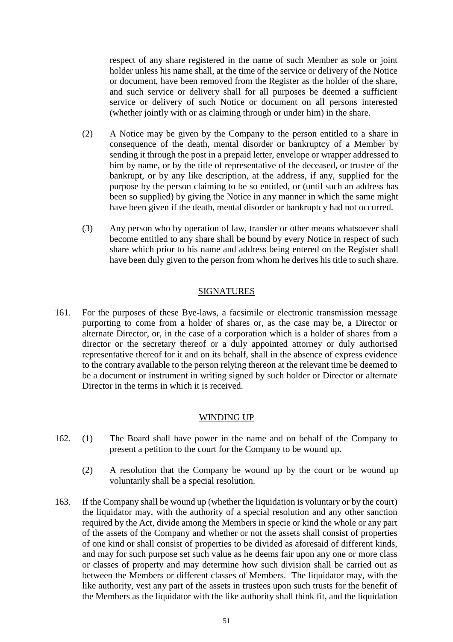respect of any share registered in the name of such Member as sole or joint holder unless his name shall, at the time of the service or delivery of the Notice or document, have been removed from the Register as the holder of the share, and such service or delivery shall for all purposes be deemed a sufficient service or delivery of such Notice or document on all persons interested (whether jointly with or as claiming through or under him) in the share.

- (2) A Notice may be given by the Company to the person entitled to a share in consequence of the death, mental disorder or bankruptcy of a Member by sending it through the post in a prepaid letter, envelope or wrapper addressed to him by name, or by the title of representative of the deceased, or trustee of the bankrupt, or by any like description, at the address, if any, supplied for the purpose by the person claiming to be so entitled, or (until such an address has been so supplied) by giving the Notice in any manner in which the same might have been given if the death, mental disorder or bankruptcy had not occurred.
- (3) Any person who by operation of law, transfer or other means whatsoever shall become entitled to any share shall be bound by every Notice in respect of such share which prior to his name and address being entered on the Register shall have been duly given to the person from whom he derives his title to such share.

#### SIGNATURES

161. For the purposes of these Bye-laws, a facsimile or electronic transmission message purporting to come from a holder of shares or, as the case may be, a Director or alternate Director, or, in the case of a corporation which is a holder of shares from a director or the secretary thereof or a duly appointed attorney or duly authorised representative thereof for it and on its behalf, shall in the absence of express evidence to the contrary available to the person relying thereon at the relevant time be deemed to be a document or instrument in writing signed by such holder or Director or alternate Director in the terms in which it is received.

### WINDING UP

- 162. (1) The Board shall have power in the name and on behalf of the Company to present a petition to the court for the Company to be wound up.
	- (2) A resolution that the Company be wound up by the court or be wound up voluntarily shall be a special resolution.
- 163. If the Company shall be wound up (whether the liquidation is voluntary or by the court) the liquidator may, with the authority of a special resolution and any other sanction required by the Act, divide among the Members in specie or kind the whole or any part of the assets of the Company and whether or not the assets shall consist of properties of one kind or shall consist of properties to be divided as aforesaid of different kinds, and may for such purpose set such value as he deems fair upon any one or more class or classes of property and may determine how such division shall be carried out as between the Members or different classes of Members. The liquidator may, with the like authority, vest any part of the assets in trustees upon such trusts for the benefit of the Members as the liquidator with the like authority shall think fit, and the liquidation